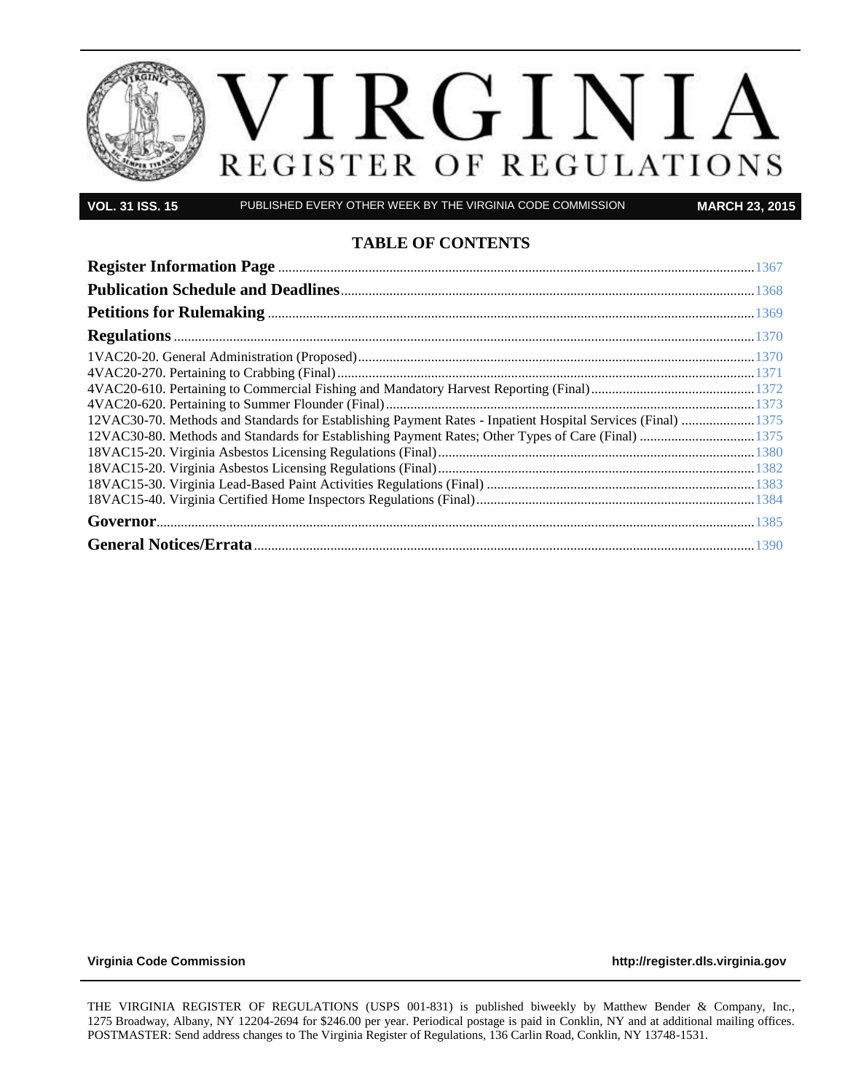

**VOL. 31 ISS. 15** PUBLISHED EVERY OTHER WEEK BY THE VIRGINIA CODE COMMISSION **MARCH 23, 2015**

#### **TABLE OF CONTENTS**

| 1375 12VAC30-70. Methods and Standards for Establishing Payment Rates - Inpatient Hospital Services (Final)  1375 |  |
|-------------------------------------------------------------------------------------------------------------------|--|
| 1375 12VAC30-80. Methods and Standards for Establishing Payment Rates; Other Types of Care (Final) 1375           |  |
|                                                                                                                   |  |
|                                                                                                                   |  |
|                                                                                                                   |  |
|                                                                                                                   |  |
|                                                                                                                   |  |
|                                                                                                                   |  |

VOL

**[Virginia Code Commission](http://register.dls.virginia.gov/) [http://register.dls.virginia.gov](http://register.dls.virginia.gov/)**

THE VIRGINIA REGISTER OF REGULATIONS (USPS 001-831) is published biweekly by Matthew Bender & Company, Inc., 1275 Broadway, Albany, NY 12204-2694 for \$246.00 per year. Periodical postage is paid in Conklin, NY and at additional mailing offices. POSTMASTER: Send address changes to The Virginia Register of Regulations, 136 Carlin Road, Conklin, NY 13748-1531.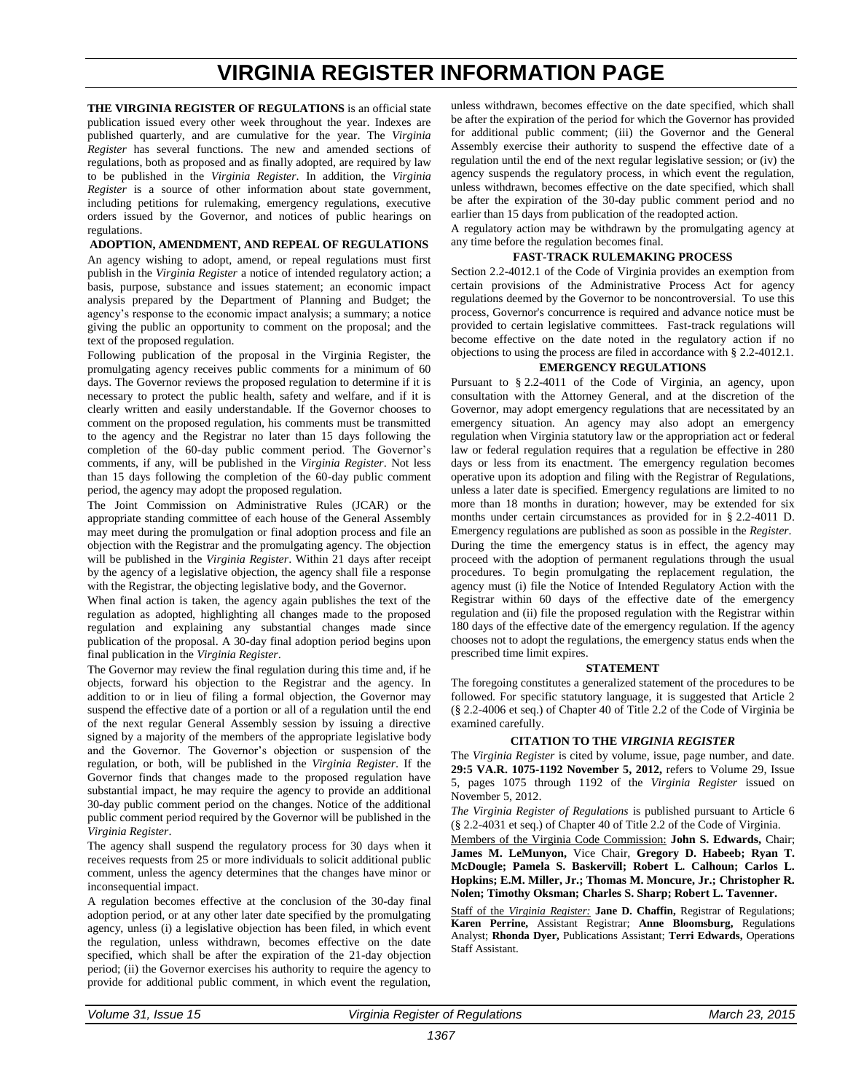# **VIRGINIA REGISTER INFORMATION PAGE**

<span id="page-2-0"></span>**THE VIRGINIA REGISTER OF REGULATIONS** is an official state publication issued every other week throughout the year. Indexes are published quarterly, and are cumulative for the year. The *Virginia Register* has several functions. The new and amended sections of regulations, both as proposed and as finally adopted, are required by law to be published in the *Virginia Register*. In addition, the *Virginia Register* is a source of other information about state government, including petitions for rulemaking, emergency regulations, executive orders issued by the Governor, and notices of public hearings on regulations.

#### **ADOPTION, AMENDMENT, AND REPEAL OF REGULATIONS**

An agency wishing to adopt, amend, or repeal regulations must first publish in the *Virginia Register* a notice of intended regulatory action; a basis, purpose, substance and issues statement; an economic impact analysis prepared by the Department of Planning and Budget; the agency's response to the economic impact analysis; a summary; a notice giving the public an opportunity to comment on the proposal; and the text of the proposed regulation.

Following publication of the proposal in the Virginia Register, the promulgating agency receives public comments for a minimum of 60 days. The Governor reviews the proposed regulation to determine if it is necessary to protect the public health, safety and welfare, and if it is clearly written and easily understandable. If the Governor chooses to comment on the proposed regulation, his comments must be transmitted to the agency and the Registrar no later than 15 days following the completion of the 60-day public comment period. The Governor's comments, if any, will be published in the *Virginia Register*. Not less than 15 days following the completion of the 60-day public comment period, the agency may adopt the proposed regulation.

The Joint Commission on Administrative Rules (JCAR) or the appropriate standing committee of each house of the General Assembly may meet during the promulgation or final adoption process and file an objection with the Registrar and the promulgating agency. The objection will be published in the *Virginia Register*. Within 21 days after receipt by the agency of a legislative objection, the agency shall file a response with the Registrar, the objecting legislative body, and the Governor.

When final action is taken, the agency again publishes the text of the regulation as adopted, highlighting all changes made to the proposed regulation and explaining any substantial changes made since publication of the proposal. A 30-day final adoption period begins upon final publication in the *Virginia Register*.

The Governor may review the final regulation during this time and, if he objects, forward his objection to the Registrar and the agency. In addition to or in lieu of filing a formal objection, the Governor may suspend the effective date of a portion or all of a regulation until the end of the next regular General Assembly session by issuing a directive signed by a majority of the members of the appropriate legislative body and the Governor. The Governor's objection or suspension of the regulation, or both, will be published in the *Virginia Register*. If the Governor finds that changes made to the proposed regulation have substantial impact, he may require the agency to provide an additional 30-day public comment period on the changes. Notice of the additional public comment period required by the Governor will be published in the *Virginia Register*.

The agency shall suspend the regulatory process for 30 days when it receives requests from 25 or more individuals to solicit additional public comment, unless the agency determines that the changes have minor or inconsequential impact.

A regulation becomes effective at the conclusion of the 30-day final adoption period, or at any other later date specified by the promulgating agency, unless (i) a legislative objection has been filed, in which event the regulation, unless withdrawn, becomes effective on the date specified, which shall be after the expiration of the 21-day objection period; (ii) the Governor exercises his authority to require the agency to provide for additional public comment, in which event the regulation, unless withdrawn, becomes effective on the date specified, which shall be after the expiration of the period for which the Governor has provided for additional public comment; (iii) the Governor and the General Assembly exercise their authority to suspend the effective date of a regulation until the end of the next regular legislative session; or (iv) the agency suspends the regulatory process, in which event the regulation, unless withdrawn, becomes effective on the date specified, which shall be after the expiration of the 30-day public comment period and no earlier than 15 days from publication of the readopted action.

A regulatory action may be withdrawn by the promulgating agency at any time before the regulation becomes final.

#### **FAST-TRACK RULEMAKING PROCESS**

Section 2.2-4012.1 of the Code of Virginia provides an exemption from certain provisions of the Administrative Process Act for agency regulations deemed by the Governor to be noncontroversial. To use this process, Governor's concurrence is required and advance notice must be provided to certain legislative committees. Fast-track regulations will become effective on the date noted in the regulatory action if no objections to using the process are filed in accordance with § 2.2-4012.1.

#### **EMERGENCY REGULATIONS**

Pursuant to § [2.2-4011](http://leg1.state.va.us/cgi-bin/legp504.exe?000+cod+2.2-4011) of the Code of Virginia, an agency, upon consultation with the Attorney General, and at the discretion of the Governor, may adopt emergency regulations that are necessitated by an emergency situation. An agency may also adopt an emergency regulation when Virginia statutory law or the appropriation act or federal law or federal regulation requires that a regulation be effective in 280 days or less from its enactment. The emergency regulation becomes operative upon its adoption and filing with the Registrar of Regulations, unless a later date is specified. Emergency regulations are limited to no more than 18 months in duration; however, may be extended for six months under certain circumstances as provided for in § 2.2-4011 D. Emergency regulations are published as soon as possible in the *Register*. During the time the emergency status is in effect, the agency may proceed with the adoption of permanent regulations through the usual procedures. To begin promulgating the replacement regulation, the agency must (i) file the Notice of Intended Regulatory Action with the Registrar within 60 days of the effective date of the emergency regulation and (ii) file the proposed regulation with the Registrar within 180 days of the effective date of the emergency regulation. If the agency chooses not to adopt the regulations, the emergency status ends when the prescribed time limit expires.

#### **STATEMENT**

The foregoing constitutes a generalized statement of the procedures to be followed. For specific statutory language, it is suggested that Article 2 (§ 2.2-4006 et seq.) of Chapter 40 of Title 2.2 of the Code of Virginia be examined carefully.

#### **CITATION TO THE** *VIRGINIA REGISTER*

The *Virginia Register* is cited by volume, issue, page number, and date. **29:5 VA.R. 1075-1192 November 5, 2012,** refers to Volume 29, Issue 5, pages 1075 through 1192 of the *Virginia Register* issued on November 5, 2012.

*The Virginia Register of Regulations* is published pursuant to Article 6 (§ 2.2-4031 et seq.) of Chapter 40 of Title 2.2 of the Code of Virginia.

Members of the Virginia Code Commission: **John S. Edwards,** Chair; **James M. LeMunyon,** Vice Chair, **Gregory D. Habeeb; Ryan T. McDougle; Pamela S. Baskervill; Robert L. Calhoun; Carlos L. Hopkins; E.M. Miller, Jr.; Thomas M. Moncure, Jr.; Christopher R. Nolen; Timothy Oksman; Charles S. Sharp; Robert L. Tavenner.**

Staff of the *Virginia Register:* **Jane D. Chaffin,** Registrar of Regulations; **Karen Perrine,** Assistant Registrar; **Anne Bloomsburg,** Regulations Analyst; **Rhonda Dyer,** Publications Assistant; **Terri Edwards,** Operations Staff Assistant.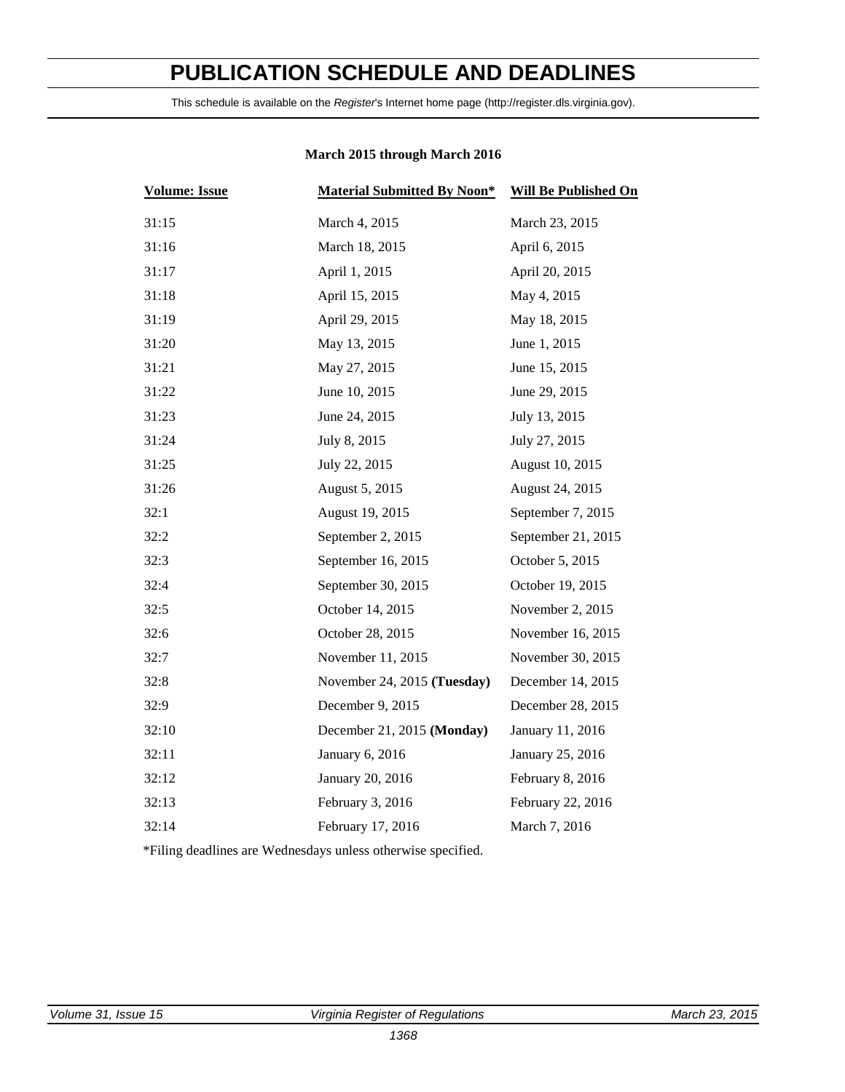# <span id="page-3-0"></span>**PUBLICATION SCHEDULE AND DEADLINES**

This schedule is available on the *Register*'s Internet home page (http://register.dls.virginia.gov).

| <b>Volume: Issue</b> | <b>Material Submitted By Noon*</b> | <b>Will Be Published On</b> |  |
|----------------------|------------------------------------|-----------------------------|--|
| 31:15                | March 4, 2015                      | March 23, 2015              |  |
| 31:16                | March 18, 2015                     | April 6, 2015               |  |
| 31:17                | April 1, 2015                      | April 20, 2015              |  |
| 31:18                | April 15, 2015                     | May 4, 2015                 |  |
| 31:19                | April 29, 2015                     | May 18, 2015                |  |
| 31:20                | May 13, 2015                       | June 1, 2015                |  |
| 31:21                | May 27, 2015                       | June 15, 2015               |  |
| 31:22                | June 10, 2015                      | June 29, 2015               |  |
| 31:23                | June 24, 2015                      | July 13, 2015               |  |
| 31:24                | July 8, 2015                       | July 27, 2015               |  |
| 31:25                | July 22, 2015                      | August 10, 2015             |  |
| 31:26                | August 5, 2015                     | August 24, 2015             |  |
| 32:1                 | August 19, 2015                    | September 7, 2015           |  |
| 32:2                 | September 2, 2015                  | September 21, 2015          |  |
| 32:3                 | September 16, 2015                 | October 5, 2015             |  |
| 32:4                 | September 30, 2015                 | October 19, 2015            |  |
| 32:5                 | October 14, 2015                   | November 2, 2015            |  |
| 32:6                 | October 28, 2015                   | November 16, 2015           |  |
| 32:7                 | November 11, 2015                  | November 30, 2015           |  |
| 32:8                 | November 24, 2015 (Tuesday)        | December 14, 2015           |  |
| 32:9                 | December 9, 2015                   | December 28, 2015           |  |
| 32:10                | December 21, 2015 (Monday)         | January 11, 2016            |  |
| 32:11                | January 6, 2016                    | January 25, 2016            |  |
| 32:12                | January 20, 2016                   | February 8, 2016            |  |
| 32:13                | February 3, 2016                   | February 22, 2016           |  |
| 32:14                | February 17, 2016                  | March 7, 2016               |  |
|                      |                                    |                             |  |

#### **March 2015 through March 2016**

\*Filing deadlines are Wednesdays unless otherwise specified.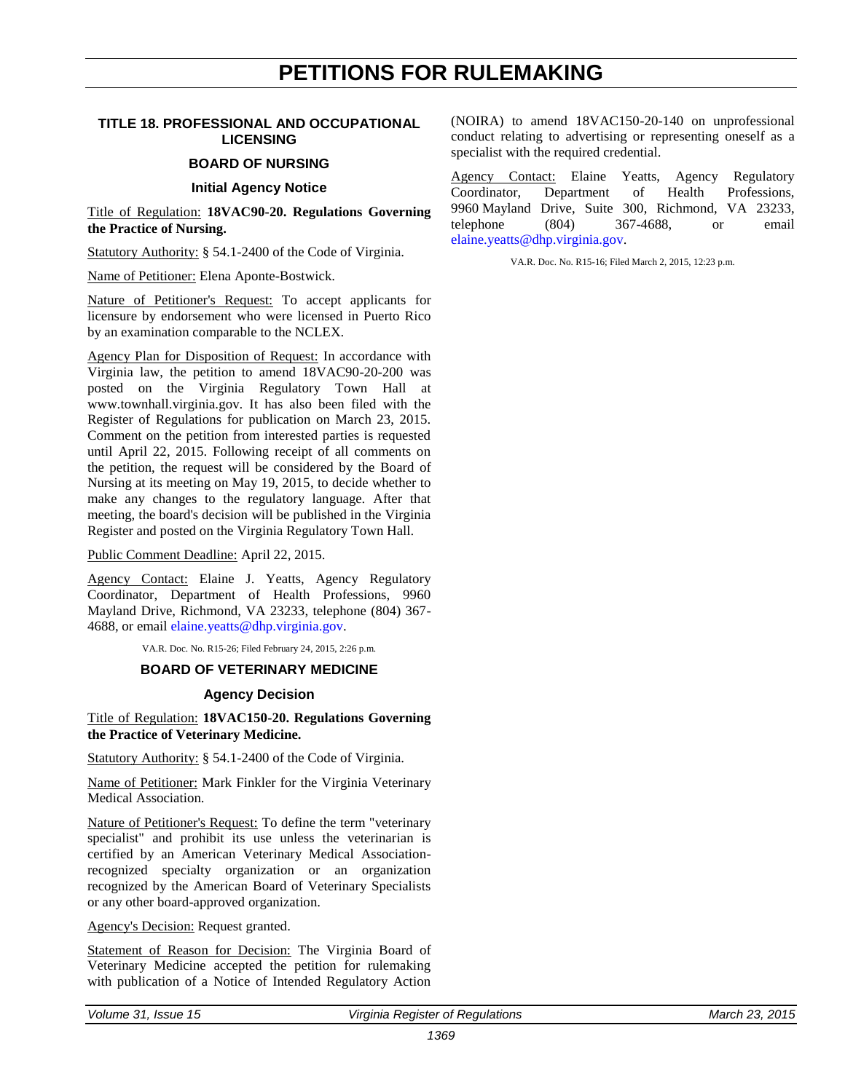## **PETITIONS FOR RULEMAKING**

#### <span id="page-4-0"></span>**TITLE 18. PROFESSIONAL AND OCCUPATIONAL LICENSING**

#### **BOARD OF NURSING**

#### **Initial Agency Notice**

Title of Regulation: **18VAC90-20. Regulations Governing the Practice of Nursing.**

Statutory Authority: § 54.1-2400 of the Code of Virginia.

Name of Petitioner: Elena Aponte-Bostwick.

Nature of Petitioner's Request: To accept applicants for licensure by endorsement who were licensed in Puerto Rico by an examination comparable to the NCLEX.

Agency Plan for Disposition of Request: In accordance with Virginia law, the petition to amend 18VAC90-20-200 was posted on the Virginia Regulatory Town Hall at www.townhall.virginia.gov. It has also been filed with the Register of Regulations for publication on March 23, 2015. Comment on the petition from interested parties is requested until April 22, 2015. Following receipt of all comments on the petition, the request will be considered by the Board of Nursing at its meeting on May 19, 2015, to decide whether to make any changes to the regulatory language. After that meeting, the board's decision will be published in the Virginia Register and posted on the Virginia Regulatory Town Hall.

Public Comment Deadline: April 22, 2015.

Agency Contact: Elaine J. Yeatts, Agency Regulatory Coordinator, Department of Health Professions, 9960 Mayland Drive, Richmond, VA 23233, telephone (804) 367- 4688, or email [elaine.yeatts@dhp.virginia.gov.](mailto:elaine.yeatts@dhp.virginia.gov)

VA.R. Doc. No. R15-26; Filed February 24, 2015, 2:26 p.m.

#### **BOARD OF VETERINARY MEDICINE**

#### **Agency Decision**

Title of Regulation: **18VAC150-20. Regulations Governing the Practice of Veterinary Medicine.**

Statutory Authority: § 54.1-2400 of the Code of Virginia.

Name of Petitioner: Mark Finkler for the Virginia Veterinary Medical Association.

Nature of Petitioner's Request: To define the term "veterinary specialist" and prohibit its use unless the veterinarian is certified by an American Veterinary Medical Associationrecognized specialty organization or an organization recognized by the American Board of Veterinary Specialists or any other board-approved organization.

#### Agency's Decision: Request granted.

Statement of Reason for Decision: The Virginia Board of Veterinary Medicine accepted the petition for rulemaking with publication of a Notice of Intended Regulatory Action

(NOIRA) to amend 18VAC150-20-140 on unprofessional conduct relating to advertising or representing oneself as a specialist with the required credential.

Agency Contact: Elaine Yeatts, Agency Regulatory Coordinator, Department of Health Professions, 9960 Mayland Drive, Suite 300, Richmond, VA 23233, telephone (804) 367-4688, or email [elaine.yeatts@dhp.virginia.gov.](mailto:elaine.yeatts@dhp.virginia.gov)

VA.R. Doc. No. R15-16; Filed March 2, 2015, 12:23 p.m.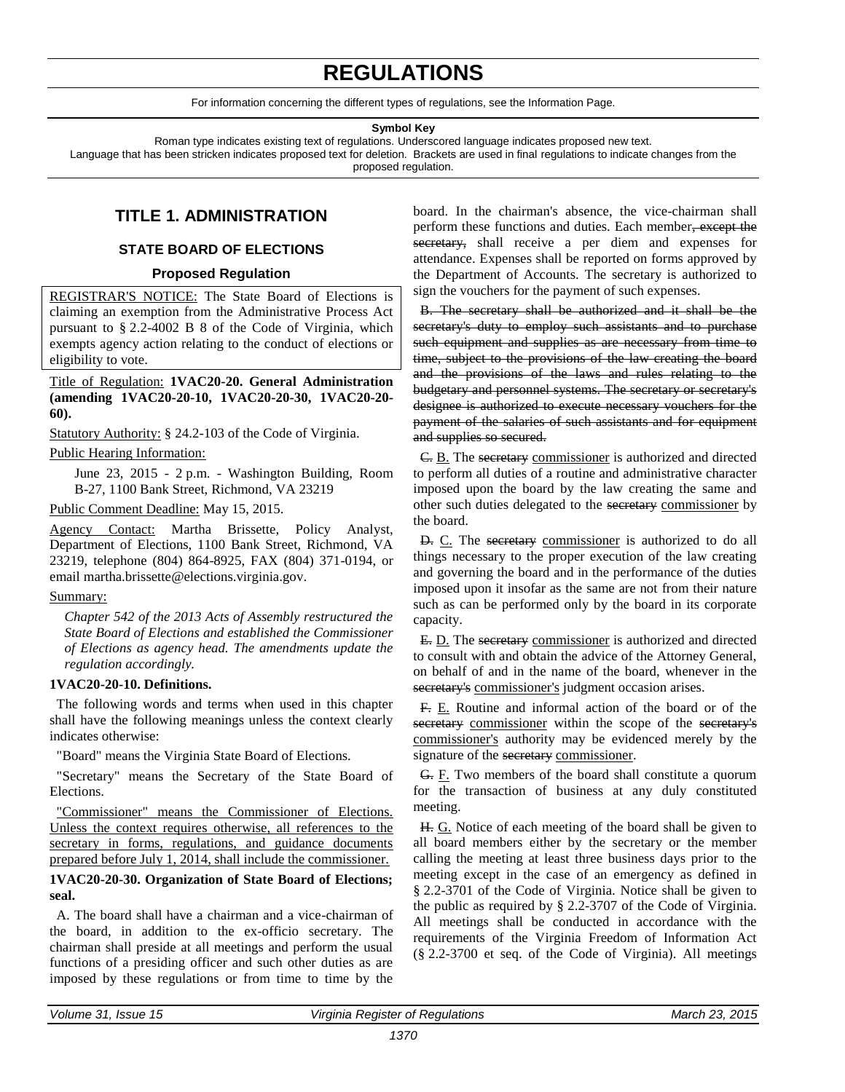# **REGULATIONS**

For information concerning the different types of regulations, see the Information Page.

#### **Symbol Key**

<span id="page-5-0"></span>Roman type indicates existing text of regulations. Underscored language indicates proposed new text. Language that has been stricken indicates proposed text for deletion. Brackets are used in final regulations to indicate changes from the proposed regulation.

#### **TITLE 1. ADMINISTRATION**

#### **STATE BOARD OF ELECTIONS**

#### **Proposed Regulation**

REGISTRAR'S NOTICE: The State Board of Elections is claiming an exemption from the Administrative Process Act pursuant to § 2.2-4002 B 8 of the Code of Virginia, which exempts agency action relating to the conduct of elections or eligibility to vote.

Title of Regulation: **1VAC20-20. General Administration (amending 1VAC20-20-10, 1VAC20-20-30, 1VAC20-20- 60).** 

Statutory Authority: § 24.2-103 of the Code of Virginia.

#### Public Hearing Information:

June 23, 2015 - 2 p.m. - Washington Building, Room B-27, 1100 Bank Street, Richmond, VA 23219

#### Public Comment Deadline: May 15, 2015.

Agency Contact: Martha Brissette, Policy Analyst, Department of Elections, 1100 Bank Street, Richmond, VA 23219, telephone (804) 864-8925, FAX (804) 371-0194, or email martha.brissette@elections.virginia.gov.

#### Summary:

*Chapter 542 of the 2013 Acts of Assembly restructured the State Board of Elections and established the Commissioner of Elections as agency head. The amendments update the regulation accordingly.* 

#### **1VAC20-20-10. Definitions.**

The following words and terms when used in this chapter shall have the following meanings unless the context clearly indicates otherwise:

"Board" means the Virginia State Board of Elections.

"Secretary" means the Secretary of the State Board of Elections.

"Commissioner" means the Commissioner of Elections. Unless the context requires otherwise, all references to the secretary in forms, regulations, and guidance documents prepared before July 1, 2014, shall include the commissioner.

#### **1VAC20-20-30. Organization of State Board of Elections; seal.**

A. The board shall have a chairman and a vice-chairman of the board, in addition to the ex-officio secretary. The chairman shall preside at all meetings and perform the usual functions of a presiding officer and such other duties as are imposed by these regulations or from time to time by the

board. In the chairman's absence, the vice-chairman shall perform these functions and duties. Each member, except the secretary, shall receive a per diem and expenses for attendance. Expenses shall be reported on forms approved by the Department of Accounts. The secretary is authorized to sign the vouchers for the payment of such expenses.

B. The secretary shall be authorized and it shall be the secretary's duty to employ such assistants and to purchase such equipment and supplies as are necessary from time to time, subject to the provisions of the law creating the board and the provisions of the laws and rules relating to the budgetary and personnel systems. The secretary or secretary's designee is authorized to execute necessary vouchers for the payment of the salaries of such assistants and for equipment and supplies so secured.

C. B. The secretary commissioner is authorized and directed to perform all duties of a routine and administrative character imposed upon the board by the law creating the same and other such duties delegated to the secretary commissioner by the board.

D. C. The secretary commissioner is authorized to do all things necessary to the proper execution of the law creating and governing the board and in the performance of the duties imposed upon it insofar as the same are not from their nature such as can be performed only by the board in its corporate capacity.

E. D. The secretary commissioner is authorized and directed to consult with and obtain the advice of the Attorney General, on behalf of and in the name of the board, whenever in the secretary's commissioner's judgment occasion arises.

F. E. Routine and informal action of the board or of the secretary commissioner within the scope of the secretary's commissioner's authority may be evidenced merely by the signature of the secretary commissioner.

G. F. Two members of the board shall constitute a quorum for the transaction of business at any duly constituted meeting.

H. G. Notice of each meeting of the board shall be given to all board members either by the secretary or the member calling the meeting at least three business days prior to the meeting except in the case of an emergency as defined in § 2.2-3701 of the Code of Virginia. Notice shall be given to the public as required by § 2.2-3707 of the Code of Virginia. All meetings shall be conducted in accordance with the requirements of the Virginia Freedom of Information Act (§ 2.2-3700 et seq. of the Code of Virginia). All meetings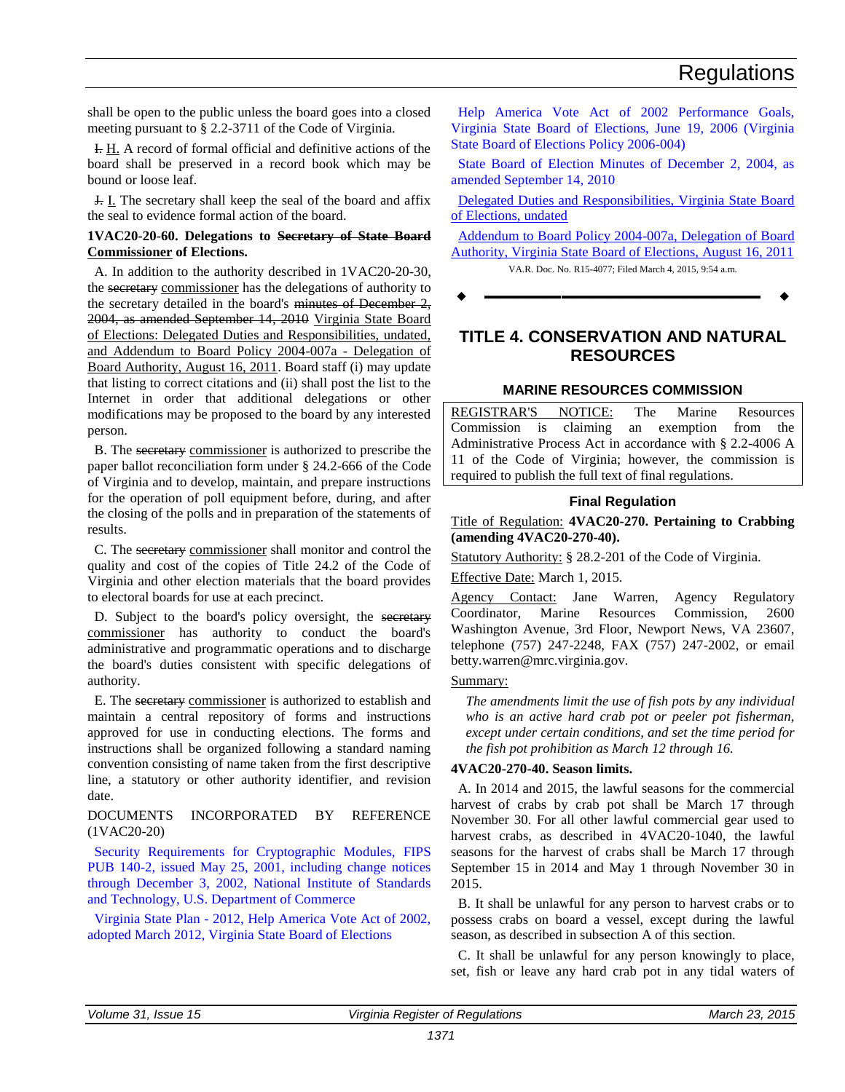<span id="page-6-0"></span>shall be open to the public unless the board goes into a closed meeting pursuant to § 2.2-3711 of the Code of Virginia.

I. H. A record of formal official and definitive actions of the board shall be preserved in a record book which may be bound or loose leaf.

J. I. The secretary shall keep the seal of the board and affix the seal to evidence formal action of the board.

#### **1VAC20-20-60. Delegations to Secretary of State Board Commissioner of Elections.**

A. In addition to the authority described in 1VAC20-20-30, the secretary commissioner has the delegations of authority to the secretary detailed in the board's minutes of December 2, 2004, as amended September 14, 2010 Virginia State Board of Elections: Delegated Duties and Responsibilities, undated, and Addendum to Board Policy 2004-007a - Delegation of Board Authority, August 16, 2011. Board staff (i) may update that listing to correct citations and (ii) shall post the list to the Internet in order that additional delegations or other modifications may be proposed to the board by any interested person.

B. The secretary commissioner is authorized to prescribe the paper ballot reconciliation form under § 24.2-666 of the Code of Virginia and to develop, maintain, and prepare instructions for the operation of poll equipment before, during, and after the closing of the polls and in preparation of the statements of results.

C. The secretary commissioner shall monitor and control the quality and cost of the copies of Title 24.2 of the Code of Virginia and other election materials that the board provides to electoral boards for use at each precinct.

D. Subject to the board's policy oversight, the secretary commissioner has authority to conduct the board's administrative and programmatic operations and to discharge the board's duties consistent with specific delegations of authority.

E. The secretary commissioner is authorized to establish and maintain a central repository of forms and instructions approved for use in conducting elections. The forms and instructions shall be organized following a standard naming convention consisting of name taken from the first descriptive line, a statutory or other authority identifier, and revision date.

#### DOCUMENTS INCORPORATED BY REFERENCE (1VAC20-20)

[Security Requirements for Cryptographic Modules, FIPS](http://leg5.state.va.us/reg_agent/frmView.aspx?Viewid=c24fa003811~2&typ=40&actno=003811&mime=application/pdf)  [PUB 140-2, issued May 25, 2001, including change notices](http://leg5.state.va.us/reg_agent/frmView.aspx?Viewid=c24fa003811~2&typ=40&actno=003811&mime=application/pdf)  [through December 3, 2002, National Institute of Standards](http://leg5.state.va.us/reg_agent/frmView.aspx?Viewid=c24fa003811~2&typ=40&actno=003811&mime=application/pdf)  [and Technology, U.S. Department of Commerce](http://leg5.state.va.us/reg_agent/frmView.aspx?Viewid=c24fa003811~2&typ=40&actno=003811&mime=application/pdf)

Virginia State Plan - [2012, Help America Vote Act of 2002,](http://leg5.state.va.us/reg_agent/frmView.aspx?Viewid=ef596003811~1&typ=40&actno=003811&mime=application/pdf)  [adopted March 2012, Virginia State Board of Elections](http://leg5.state.va.us/reg_agent/frmView.aspx?Viewid=ef596003811~1&typ=40&actno=003811&mime=application/pdf)

[Help America Vote Act of 2002 Performance Goals,](http://leg5.state.va.us/reg_agent/frmView.aspx?Viewid=09513002691~3&typ=40&actno=002691&mime=application/msword)  [Virginia State Board of Elections, June 19, 2006 \(Virginia](http://leg5.state.va.us/reg_agent/frmView.aspx?Viewid=09513002691~3&typ=40&actno=002691&mime=application/msword)  [State Board of Elections Policy 2006-004\)](http://leg5.state.va.us/reg_agent/frmView.aspx?Viewid=09513002691~3&typ=40&actno=002691&mime=application/msword)

[State Board of Election Minutes of December 2, 2004, as](http://leg5.state.va.us/reg_agent/frmView.aspx?Viewid=513ef002691~2&typ=40&actno=002691&mime=application/msword)  [amended September 14, 2010](http://leg5.state.va.us/reg_agent/frmView.aspx?Viewid=513ef002691~2&typ=40&actno=002691&mime=application/msword)

[Delegated Duties and Responsibilities, Virginia State Board](http://leg5.state.va.us/reg_agent/frmView.aspx?Viewid=38298004077~1&typ=40&actno=004077&mime=application/pdf)  [of Elections, undated](http://leg5.state.va.us/reg_agent/frmView.aspx?Viewid=38298004077~1&typ=40&actno=004077&mime=application/pdf)

[Addendum to Board Policy 2004-007a, Delegation of Board](http://leg5.state.va.us/reg_agent/frmView.aspx?Viewid=814fc004077~2&typ=40&actno=004077&mime=application/pdf)  [Authority, Virginia State Board of Elections, August 16, 2011](http://leg5.state.va.us/reg_agent/frmView.aspx?Viewid=814fc004077~2&typ=40&actno=004077&mime=application/pdf)

VA.R. Doc. No. R15-4077; Filed March 4, 2015, 9:54 a.m.

**––––––––––––––––––**

### **TITLE 4. CONSERVATION AND NATURAL RESOURCES**

#### **MARINE RESOURCES COMMISSION**

REGISTRAR'S NOTICE: The Marine Resources Commission is claiming an exemption from the Administrative Process Act in accordance with § 2.2-4006 A 11 of the Code of Virginia; however, the commission is required to publish the full text of final regulations.

#### **Final Regulation**

Title of Regulation: **4VAC20-270. Pertaining to Crabbing (amending 4VAC20-270-40).** 

Statutory Authority: § 28.2-201 of the Code of Virginia.

Effective Date: March 1, 2015.

Agency Contact: Jane Warren, Agency Regulatory Coordinator, Marine Resources Commission, 2600 Washington Avenue, 3rd Floor, Newport News, VA 23607, telephone (757) 247-2248, FAX (757) 247-2002, or email betty.warren@mrc.virginia.gov.

#### Summary:

*The amendments limit the use of fish pots by any individual who is an active hard crab pot or peeler pot fisherman, except under certain conditions, and set the time period for the fish pot prohibition as March 12 through 16.*

#### **4VAC20-270-40. Season limits.**

A. In 2014 and 2015, the lawful seasons for the commercial harvest of crabs by crab pot shall be March 17 through November 30. For all other lawful commercial gear used to harvest crabs, as described in 4VAC20-1040, the lawful seasons for the harvest of crabs shall be March 17 through September 15 in 2014 and May 1 through November 30 in 2015.

B. It shall be unlawful for any person to harvest crabs or to possess crabs on board a vessel, except during the lawful season, as described in subsection A of this section.

C. It shall be unlawful for any person knowingly to place, set, fish or leave any hard crab pot in any tidal waters of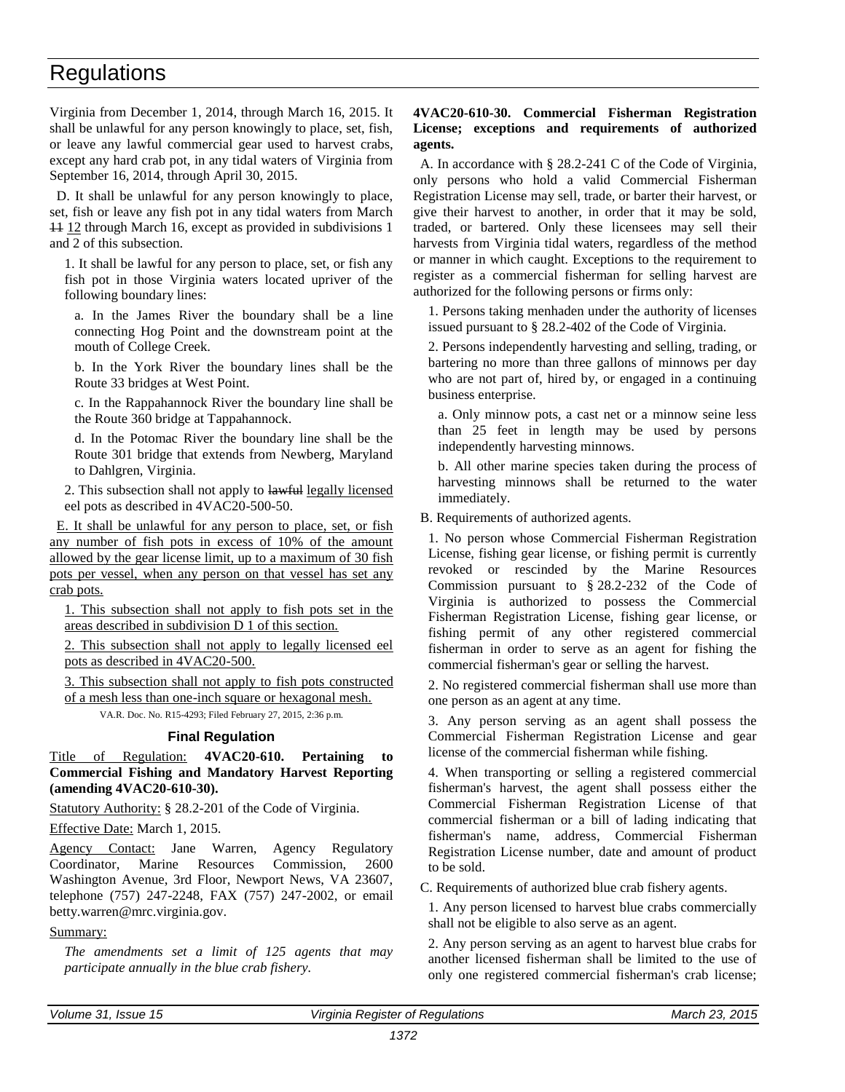<span id="page-7-0"></span>Virginia from December 1, 2014, through March 16, 2015. It shall be unlawful for any person knowingly to place, set, fish, or leave any lawful commercial gear used to harvest crabs, except any hard crab pot, in any tidal waters of Virginia from September 16, 2014, through April 30, 2015.

D. It shall be unlawful for any person knowingly to place, set, fish or leave any fish pot in any tidal waters from March 11 12 through March 16, except as provided in subdivisions 1 and 2 of this subsection.

1. It shall be lawful for any person to place, set, or fish any fish pot in those Virginia waters located upriver of the following boundary lines:

a. In the James River the boundary shall be a line connecting Hog Point and the downstream point at the mouth of College Creek.

b. In the York River the boundary lines shall be the Route 33 bridges at West Point.

c. In the Rappahannock River the boundary line shall be the Route 360 bridge at Tappahannock.

d. In the Potomac River the boundary line shall be the Route 301 bridge that extends from Newberg, Maryland to Dahlgren, Virginia.

2. This subsection shall not apply to lawful legally licensed eel pots as described in 4VAC20-500-50.

E. It shall be unlawful for any person to place, set, or fish any number of fish pots in excess of 10% of the amount allowed by the gear license limit, up to a maximum of 30 fish pots per vessel, when any person on that vessel has set any crab pots.

1. This subsection shall not apply to fish pots set in the areas described in subdivision D 1 of this section.

2. This subsection shall not apply to legally licensed eel pots as described in 4VAC20-500.

3. This subsection shall not apply to fish pots constructed of a mesh less than one-inch square or hexagonal mesh.

VA.R. Doc. No. R15-4293; Filed February 27, 2015, 2:36 p.m.

#### **Final Regulation**

Title of Regulation: **4VAC20-610. Pertaining to Commercial Fishing and Mandatory Harvest Reporting (amending 4VAC20-610-30).** 

Statutory Authority: § 28.2-201 of the Code of Virginia.

Effective Date: March 1, 2015.

Agency Contact: Jane Warren, Agency Regulatory Coordinator, Marine Resources Commission, 2600 Washington Avenue, 3rd Floor, Newport News, VA 23607, telephone (757) 247-2248, FAX (757) 247-2002, or email betty.warren@mrc.virginia.gov.

#### Summary:

*The amendments set a limit of 125 agents that may participate annually in the blue crab fishery.* 

#### **4VAC20-610-30. Commercial Fisherman Registration License; exceptions and requirements of authorized agents.**

A. In accordance with § 28.2-241 C of the Code of Virginia, only persons who hold a valid Commercial Fisherman Registration License may sell, trade, or barter their harvest, or give their harvest to another, in order that it may be sold, traded, or bartered. Only these licensees may sell their harvests from Virginia tidal waters, regardless of the method or manner in which caught. Exceptions to the requirement to register as a commercial fisherman for selling harvest are authorized for the following persons or firms only:

1. Persons taking menhaden under the authority of licenses issued pursuant to § 28.2-402 of the Code of Virginia.

2. Persons independently harvesting and selling, trading, or bartering no more than three gallons of minnows per day who are not part of, hired by, or engaged in a continuing business enterprise.

a. Only minnow pots, a cast net or a minnow seine less than 25 feet in length may be used by persons independently harvesting minnows.

b. All other marine species taken during the process of harvesting minnows shall be returned to the water immediately.

B. Requirements of authorized agents.

1. No person whose Commercial Fisherman Registration License, fishing gear license, or fishing permit is currently revoked or rescinded by the Marine Resources Commission pursuant to § 28.2-232 of the Code of Virginia is authorized to possess the Commercial Fisherman Registration License, fishing gear license, or fishing permit of any other registered commercial fisherman in order to serve as an agent for fishing the commercial fisherman's gear or selling the harvest.

2. No registered commercial fisherman shall use more than one person as an agent at any time.

3. Any person serving as an agent shall possess the Commercial Fisherman Registration License and gear license of the commercial fisherman while fishing.

4. When transporting or selling a registered commercial fisherman's harvest, the agent shall possess either the Commercial Fisherman Registration License of that commercial fisherman or a bill of lading indicating that fisherman's name, address, Commercial Fisherman Registration License number, date and amount of product to be sold.

C. Requirements of authorized blue crab fishery agents.

1. Any person licensed to harvest blue crabs commercially shall not be eligible to also serve as an agent.

2. Any person serving as an agent to harvest blue crabs for another licensed fisherman shall be limited to the use of only one registered commercial fisherman's crab license;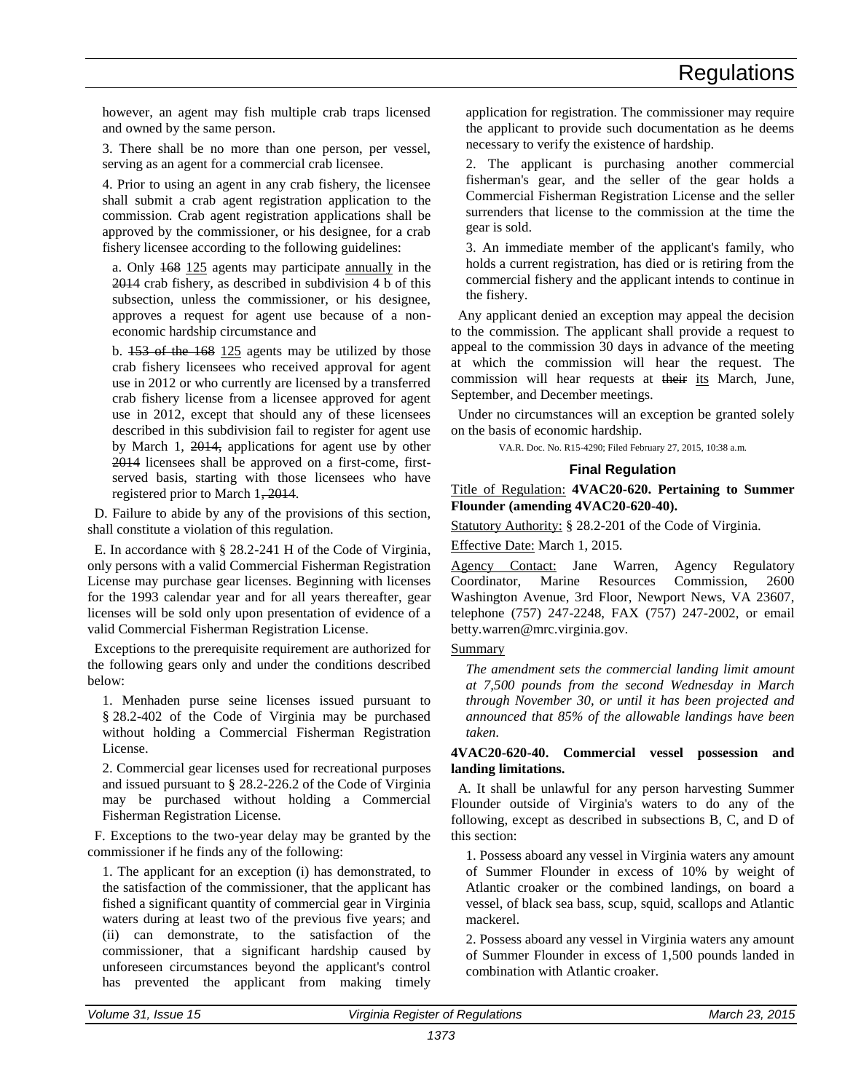<span id="page-8-0"></span>however, an agent may fish multiple crab traps licensed and owned by the same person.

3. There shall be no more than one person, per vessel, serving as an agent for a commercial crab licensee.

4. Prior to using an agent in any crab fishery, the licensee shall submit a crab agent registration application to the commission. Crab agent registration applications shall be approved by the commissioner, or his designee, for a crab fishery licensee according to the following guidelines:

a. Only 168 125 agents may participate annually in the 2014 crab fishery, as described in subdivision 4 b of this subsection, unless the commissioner, or his designee, approves a request for agent use because of a noneconomic hardship circumstance and

b. 153 of the 168 125 agents may be utilized by those crab fishery licensees who received approval for agent use in 2012 or who currently are licensed by a transferred crab fishery license from a licensee approved for agent use in 2012, except that should any of these licensees described in this subdivision fail to register for agent use by March 1, 2014, applications for agent use by other 2014 licensees shall be approved on a first-come, firstserved basis, starting with those licensees who have registered prior to March 1, 2014.

D. Failure to abide by any of the provisions of this section, shall constitute a violation of this regulation.

E. In accordance with § 28.2-241 H of the Code of Virginia, only persons with a valid Commercial Fisherman Registration License may purchase gear licenses. Beginning with licenses for the 1993 calendar year and for all years thereafter, gear licenses will be sold only upon presentation of evidence of a valid Commercial Fisherman Registration License.

Exceptions to the prerequisite requirement are authorized for the following gears only and under the conditions described below:

1. Menhaden purse seine licenses issued pursuant to § 28.2-402 of the Code of Virginia may be purchased without holding a Commercial Fisherman Registration License.

2. Commercial gear licenses used for recreational purposes and issued pursuant to § 28.2-226.2 of the Code of Virginia may be purchased without holding a Commercial Fisherman Registration License.

F. Exceptions to the two-year delay may be granted by the commissioner if he finds any of the following:

1. The applicant for an exception (i) has demonstrated, to the satisfaction of the commissioner, that the applicant has fished a significant quantity of commercial gear in Virginia waters during at least two of the previous five years; and (ii) can demonstrate, to the satisfaction of the commissioner, that a significant hardship caused by unforeseen circumstances beyond the applicant's control has prevented the applicant from making timely

application for registration. The commissioner may require the applicant to provide such documentation as he deems necessary to verify the existence of hardship.

2. The applicant is purchasing another commercial fisherman's gear, and the seller of the gear holds a Commercial Fisherman Registration License and the seller surrenders that license to the commission at the time the gear is sold.

3. An immediate member of the applicant's family, who holds a current registration, has died or is retiring from the commercial fishery and the applicant intends to continue in the fishery.

Any applicant denied an exception may appeal the decision to the commission. The applicant shall provide a request to appeal to the commission 30 days in advance of the meeting at which the commission will hear the request. The commission will hear requests at their its March, June, September, and December meetings.

Under no circumstances will an exception be granted solely on the basis of economic hardship.

VA.R. Doc. No. R15-4290; Filed February 27, 2015, 10:38 a.m.

#### **Final Regulation**

Title of Regulation: **4VAC20-620. Pertaining to Summer Flounder (amending 4VAC20-620-40).** 

Statutory Authority: § 28.2-201 of the Code of Virginia.

Effective Date: March 1, 2015.

Agency Contact: Jane Warren, Agency Regulatory Coordinator, Marine Resources Commission, 2600 Washington Avenue, 3rd Floor, Newport News, VA 23607, telephone (757) 247-2248, FAX (757) 247-2002, or email betty.warren@mrc.virginia.gov.

#### Summary

*The amendment sets the commercial landing limit amount at 7,500 pounds from the second Wednesday in March through November 30, or until it has been projected and announced that 85% of the allowable landings have been taken.* 

#### **4VAC20-620-40. Commercial vessel possession and landing limitations.**

A. It shall be unlawful for any person harvesting Summer Flounder outside of Virginia's waters to do any of the following, except as described in subsections B, C, and D of this section:

1. Possess aboard any vessel in Virginia waters any amount of Summer Flounder in excess of 10% by weight of Atlantic croaker or the combined landings, on board a vessel, of black sea bass, scup, squid, scallops and Atlantic mackerel.

2. Possess aboard any vessel in Virginia waters any amount of Summer Flounder in excess of 1,500 pounds landed in combination with Atlantic croaker.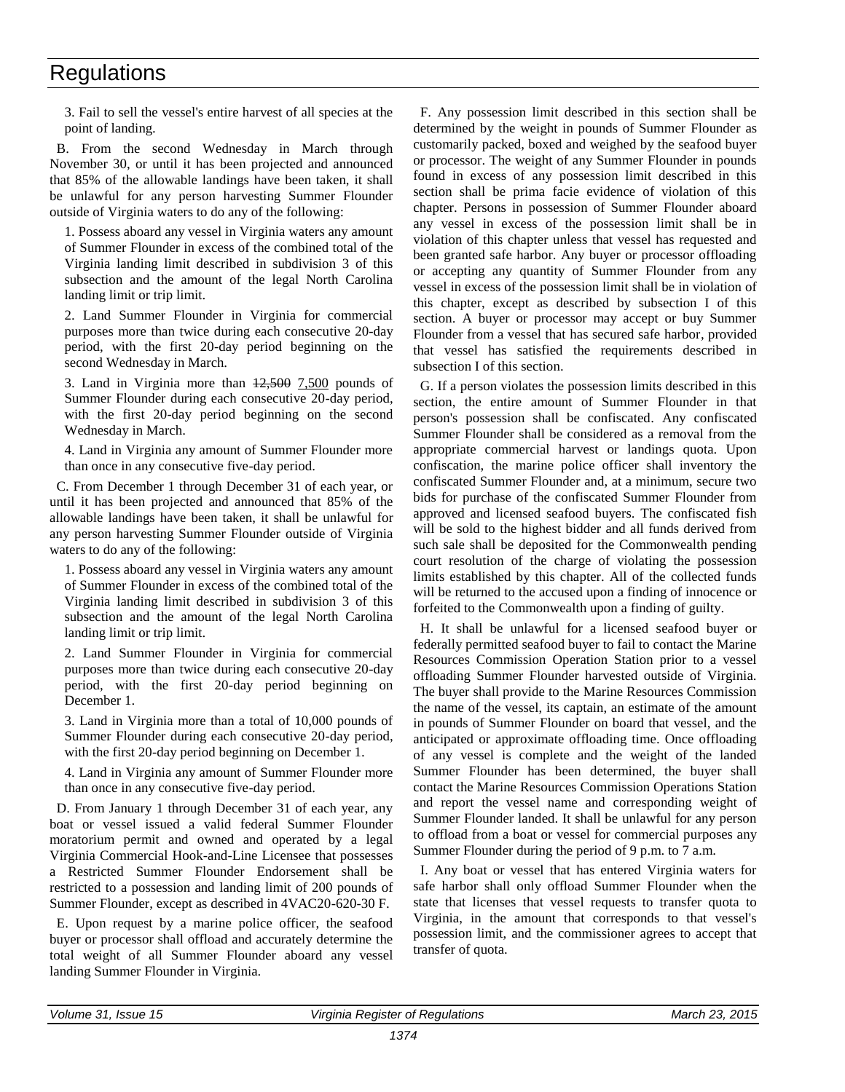3. Fail to sell the vessel's entire harvest of all species at the point of landing.

B. From the second Wednesday in March through November 30, or until it has been projected and announced that 85% of the allowable landings have been taken, it shall be unlawful for any person harvesting Summer Flounder outside of Virginia waters to do any of the following:

1. Possess aboard any vessel in Virginia waters any amount of Summer Flounder in excess of the combined total of the Virginia landing limit described in subdivision 3 of this subsection and the amount of the legal North Carolina landing limit or trip limit.

2. Land Summer Flounder in Virginia for commercial purposes more than twice during each consecutive 20-day period, with the first 20-day period beginning on the second Wednesday in March.

3. Land in Virginia more than  $12,500$  7,500 pounds of Summer Flounder during each consecutive 20-day period, with the first 20-day period beginning on the second Wednesday in March.

4. Land in Virginia any amount of Summer Flounder more than once in any consecutive five-day period.

C. From December 1 through December 31 of each year, or until it has been projected and announced that 85% of the allowable landings have been taken, it shall be unlawful for any person harvesting Summer Flounder outside of Virginia waters to do any of the following:

1. Possess aboard any vessel in Virginia waters any amount of Summer Flounder in excess of the combined total of the Virginia landing limit described in subdivision 3 of this subsection and the amount of the legal North Carolina landing limit or trip limit.

2. Land Summer Flounder in Virginia for commercial purposes more than twice during each consecutive 20-day period, with the first 20-day period beginning on December 1.

3. Land in Virginia more than a total of 10,000 pounds of Summer Flounder during each consecutive 20-day period, with the first 20-day period beginning on December 1.

4. Land in Virginia any amount of Summer Flounder more than once in any consecutive five-day period.

D. From January 1 through December 31 of each year, any boat or vessel issued a valid federal Summer Flounder moratorium permit and owned and operated by a legal Virginia Commercial Hook-and-Line Licensee that possesses a Restricted Summer Flounder Endorsement shall be restricted to a possession and landing limit of 200 pounds of Summer Flounder, except as described in 4VAC20-620-30 F.

E. Upon request by a marine police officer, the seafood buyer or processor shall offload and accurately determine the total weight of all Summer Flounder aboard any vessel landing Summer Flounder in Virginia.

F. Any possession limit described in this section shall be determined by the weight in pounds of Summer Flounder as customarily packed, boxed and weighed by the seafood buyer or processor. The weight of any Summer Flounder in pounds found in excess of any possession limit described in this section shall be prima facie evidence of violation of this chapter. Persons in possession of Summer Flounder aboard any vessel in excess of the possession limit shall be in violation of this chapter unless that vessel has requested and been granted safe harbor. Any buyer or processor offloading or accepting any quantity of Summer Flounder from any vessel in excess of the possession limit shall be in violation of this chapter, except as described by subsection I of this section. A buyer or processor may accept or buy Summer Flounder from a vessel that has secured safe harbor, provided that vessel has satisfied the requirements described in subsection I of this section.

G. If a person violates the possession limits described in this section, the entire amount of Summer Flounder in that person's possession shall be confiscated. Any confiscated Summer Flounder shall be considered as a removal from the appropriate commercial harvest or landings quota. Upon confiscation, the marine police officer shall inventory the confiscated Summer Flounder and, at a minimum, secure two bids for purchase of the confiscated Summer Flounder from approved and licensed seafood buyers. The confiscated fish will be sold to the highest bidder and all funds derived from such sale shall be deposited for the Commonwealth pending court resolution of the charge of violating the possession limits established by this chapter. All of the collected funds will be returned to the accused upon a finding of innocence or forfeited to the Commonwealth upon a finding of guilty.

H. It shall be unlawful for a licensed seafood buyer or federally permitted seafood buyer to fail to contact the Marine Resources Commission Operation Station prior to a vessel offloading Summer Flounder harvested outside of Virginia. The buyer shall provide to the Marine Resources Commission the name of the vessel, its captain, an estimate of the amount in pounds of Summer Flounder on board that vessel, and the anticipated or approximate offloading time. Once offloading of any vessel is complete and the weight of the landed Summer Flounder has been determined, the buyer shall contact the Marine Resources Commission Operations Station and report the vessel name and corresponding weight of Summer Flounder landed. It shall be unlawful for any person to offload from a boat or vessel for commercial purposes any Summer Flounder during the period of 9 p.m. to 7 a.m.

I. Any boat or vessel that has entered Virginia waters for safe harbor shall only offload Summer Flounder when the state that licenses that vessel requests to transfer quota to Virginia, in the amount that corresponds to that vessel's possession limit, and the commissioner agrees to accept that transfer of quota.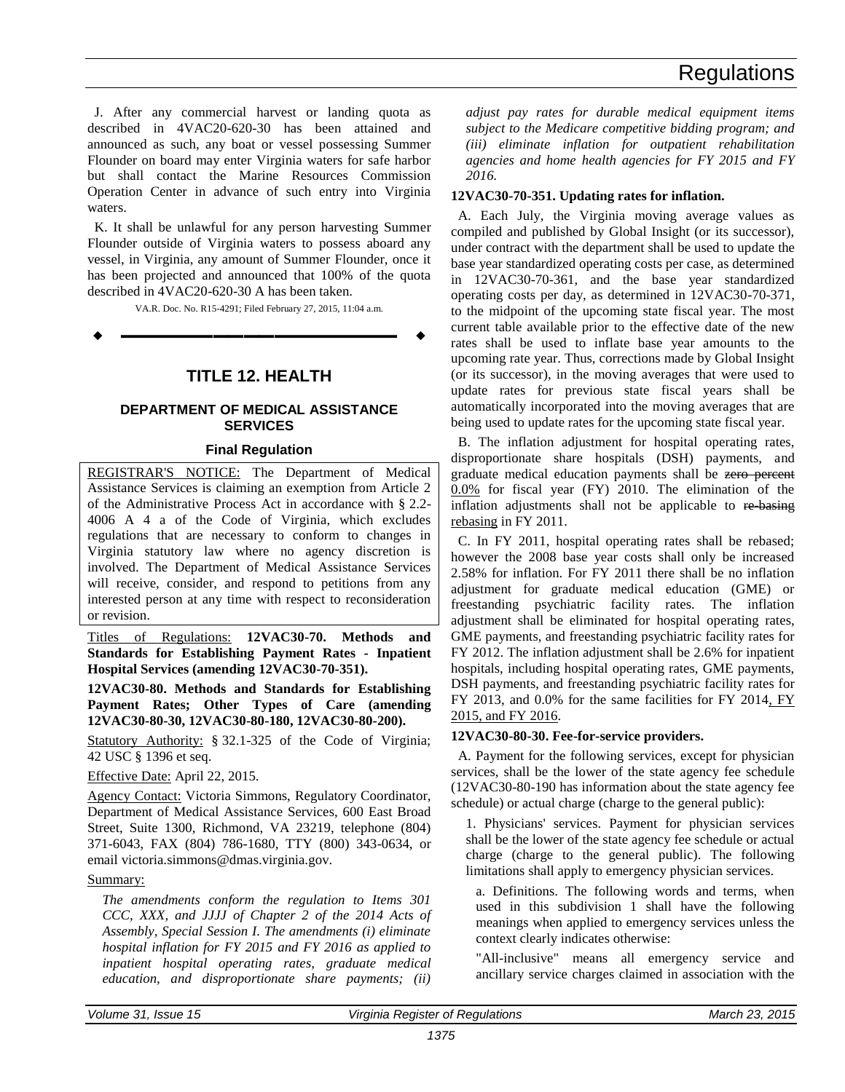<span id="page-10-0"></span>J. After any commercial harvest or landing quota as described in 4VAC20-620-30 has been attained and announced as such, any boat or vessel possessing Summer Flounder on board may enter Virginia waters for safe harbor but shall contact the Marine Resources Commission Operation Center in advance of such entry into Virginia waters.

K. It shall be unlawful for any person harvesting Summer Flounder outside of Virginia waters to possess aboard any vessel, in Virginia, any amount of Summer Flounder, once it has been projected and announced that 100% of the quota described in 4VAC20-620-30 A has been taken.

VA.R. Doc. No. R15-4291; Filed February 27, 2015, 11:04 a.m. **––––––––––––––––––**

**TITLE 12. HEALTH**

#### **DEPARTMENT OF MEDICAL ASSISTANCE SERVICES**

#### **Final Regulation**

REGISTRAR'S NOTICE: The Department of Medical Assistance Services is claiming an exemption from Article 2 of the Administrative Process Act in accordance with § 2.2- 4006 A 4 a of the Code of Virginia, which excludes regulations that are necessary to conform to changes in Virginia statutory law where no agency discretion is involved. The Department of Medical Assistance Services will receive, consider, and respond to petitions from any interested person at any time with respect to reconsideration or revision.

Titles of Regulations: **12VAC30-70. Methods and Standards for Establishing Payment Rates - Inpatient Hospital Services (amending 12VAC30-70-351).**

**12VAC30-80. Methods and Standards for Establishing Payment Rates; Other Types of Care (amending 12VAC30-80-30, 12VAC30-80-180, 12VAC30-80-200).** 

Statutory Authority: § 32.1-325 of the Code of Virginia; 42 USC § 1396 et seq.

Effective Date: April 22, 2015.

Agency Contact: Victoria Simmons, Regulatory Coordinator, Department of Medical Assistance Services, 600 East Broad Street, Suite 1300, Richmond, VA 23219, telephone (804) 371-6043, FAX (804) 786-1680, TTY (800) 343-0634, or email victoria.simmons@dmas.virginia.gov.

#### Summary:

*The amendments conform the regulation to Items 301 CCC, XXX, and JJJJ of Chapter 2 of the 2014 Acts of Assembly, Special Session I. The amendments (i) eliminate hospital inflation for FY 2015 and FY 2016 as applied to inpatient hospital operating rates, graduate medical education, and disproportionate share payments; (ii)* 

*adjust pay rates for durable medical equipment items subject to the Medicare competitive bidding program; and (iii) eliminate inflation for outpatient rehabilitation agencies and home health agencies for FY 2015 and FY 2016.*

#### **12VAC30-70-351. Updating rates for inflation.**

A. Each July, the Virginia moving average values as compiled and published by Global Insight (or its successor), under contract with the department shall be used to update the base year standardized operating costs per case, as determined in 12VAC30-70-361, and the base year standardized operating costs per day, as determined in 12VAC30-70-371, to the midpoint of the upcoming state fiscal year. The most current table available prior to the effective date of the new rates shall be used to inflate base year amounts to the upcoming rate year. Thus, corrections made by Global Insight (or its successor), in the moving averages that were used to update rates for previous state fiscal years shall be automatically incorporated into the moving averages that are being used to update rates for the upcoming state fiscal year.

B. The inflation adjustment for hospital operating rates, disproportionate share hospitals (DSH) payments, and graduate medical education payments shall be zero percent 0.0% for fiscal year (FY) 2010. The elimination of the inflation adjustments shall not be applicable to re-basing rebasing in FY 2011.

C. In FY 2011, hospital operating rates shall be rebased; however the 2008 base year costs shall only be increased 2.58% for inflation. For FY 2011 there shall be no inflation adjustment for graduate medical education (GME) or freestanding psychiatric facility rates. The inflation adjustment shall be eliminated for hospital operating rates, GME payments, and freestanding psychiatric facility rates for FY 2012. The inflation adjustment shall be 2.6% for inpatient hospitals, including hospital operating rates, GME payments, DSH payments, and freestanding psychiatric facility rates for FY 2013, and 0.0% for the same facilities for FY 2014, FY 2015, and FY 2016.

#### **12VAC30-80-30. Fee-for-service providers.**

A. Payment for the following services, except for physician services, shall be the lower of the state agency fee schedule (12VAC30-80-190 has information about the state agency fee schedule) or actual charge (charge to the general public):

1. Physicians' services. Payment for physician services shall be the lower of the state agency fee schedule or actual charge (charge to the general public). The following limitations shall apply to emergency physician services.

a. Definitions. The following words and terms, when used in this subdivision 1 shall have the following meanings when applied to emergency services unless the context clearly indicates otherwise:

"All-inclusive" means all emergency service and ancillary service charges claimed in association with the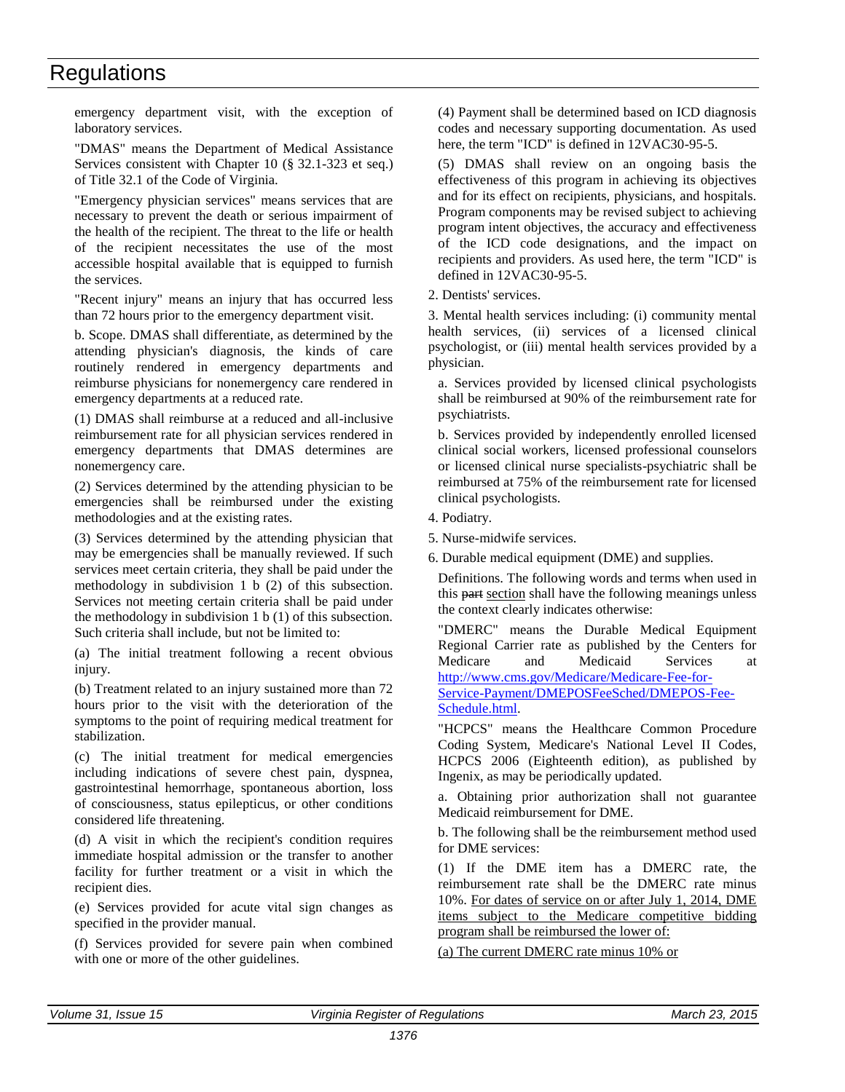emergency department visit, with the exception of laboratory services.

"DMAS" means the Department of Medical Assistance Services consistent with Chapter 10 (§ 32.1-323 et seq.) of Title 32.1 of the Code of Virginia.

"Emergency physician services" means services that are necessary to prevent the death or serious impairment of the health of the recipient. The threat to the life or health of the recipient necessitates the use of the most accessible hospital available that is equipped to furnish the services.

"Recent injury" means an injury that has occurred less than 72 hours prior to the emergency department visit.

b. Scope. DMAS shall differentiate, as determined by the attending physician's diagnosis, the kinds of care routinely rendered in emergency departments and reimburse physicians for nonemergency care rendered in emergency departments at a reduced rate.

(1) DMAS shall reimburse at a reduced and all-inclusive reimbursement rate for all physician services rendered in emergency departments that DMAS determines are nonemergency care.

(2) Services determined by the attending physician to be emergencies shall be reimbursed under the existing methodologies and at the existing rates.

(3) Services determined by the attending physician that may be emergencies shall be manually reviewed. If such services meet certain criteria, they shall be paid under the methodology in subdivision 1 b (2) of this subsection. Services not meeting certain criteria shall be paid under the methodology in subdivision 1 b (1) of this subsection. Such criteria shall include, but not be limited to:

(a) The initial treatment following a recent obvious injury.

(b) Treatment related to an injury sustained more than 72 hours prior to the visit with the deterioration of the symptoms to the point of requiring medical treatment for stabilization.

(c) The initial treatment for medical emergencies including indications of severe chest pain, dyspnea, gastrointestinal hemorrhage, spontaneous abortion, loss of consciousness, status epilepticus, or other conditions considered life threatening.

(d) A visit in which the recipient's condition requires immediate hospital admission or the transfer to another facility for further treatment or a visit in which the recipient dies.

(e) Services provided for acute vital sign changes as specified in the provider manual.

(f) Services provided for severe pain when combined with one or more of the other guidelines.

(4) Payment shall be determined based on ICD diagnosis codes and necessary supporting documentation. As used here, the term "ICD" is defined in 12VAC30-95-5.

(5) DMAS shall review on an ongoing basis the effectiveness of this program in achieving its objectives and for its effect on recipients, physicians, and hospitals. Program components may be revised subject to achieving program intent objectives, the accuracy and effectiveness of the ICD code designations, and the impact on recipients and providers. As used here, the term "ICD" is defined in 12VAC30-95-5.

2. Dentists' services.

3. Mental health services including: (i) community mental health services, (ii) services of a licensed clinical psychologist, or (iii) mental health services provided by a physician.

a. Services provided by licensed clinical psychologists shall be reimbursed at 90% of the reimbursement rate for psychiatrists.

b. Services provided by independently enrolled licensed clinical social workers, licensed professional counselors or licensed clinical nurse specialists-psychiatric shall be reimbursed at 75% of the reimbursement rate for licensed clinical psychologists.

- 4. Podiatry.
- 5. Nurse-midwife services.
- 6. Durable medical equipment (DME) and supplies.

Definitions. The following words and terms when used in this part section shall have the following meanings unless the context clearly indicates otherwise:

"DMERC" means the Durable Medical Equipment Regional Carrier rate as published by the Centers for Medicare and Medicaid Services at [http://www.cms.gov/Medicare/Medicare-Fee-for-](http://www.cms.gov/Medicare/Medicare-Fee-for-Service-Payment/DMEPOSFeeSched/DMEPOS-Fee-Schedule.html)[Service-Payment/DMEPOSFeeSched/DMEPOS-Fee-](http://www.cms.gov/Medicare/Medicare-Fee-for-Service-Payment/DMEPOSFeeSched/DMEPOS-Fee-Schedule.html)[Schedule.html.](http://www.cms.gov/Medicare/Medicare-Fee-for-Service-Payment/DMEPOSFeeSched/DMEPOS-Fee-Schedule.html)

"HCPCS" means the Healthcare Common Procedure Coding System, Medicare's National Level II Codes, HCPCS 2006 (Eighteenth edition), as published by Ingenix, as may be periodically updated.

a. Obtaining prior authorization shall not guarantee Medicaid reimbursement for DME.

b. The following shall be the reimbursement method used for DME services:

(1) If the DME item has a DMERC rate, the reimbursement rate shall be the DMERC rate minus 10%. For dates of service on or after July 1, 2014, DME items subject to the Medicare competitive bidding program shall be reimbursed the lower of:

(a) The current DMERC rate minus 10% or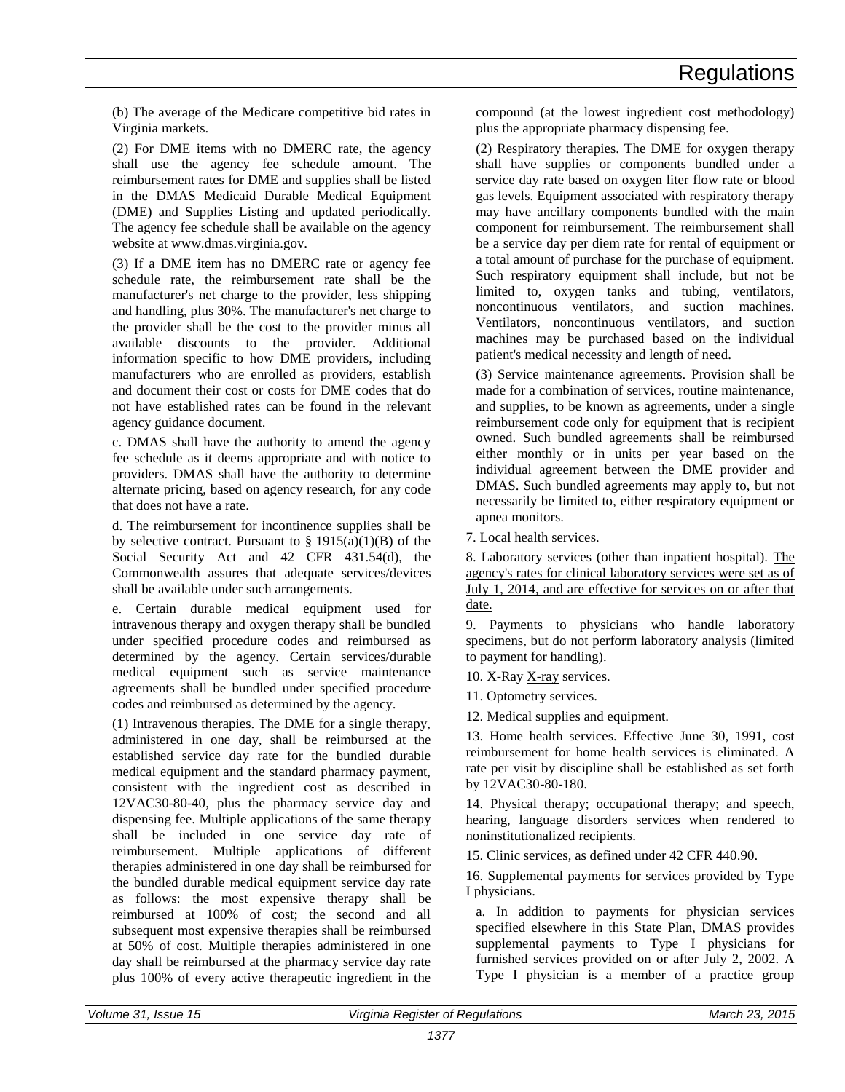(b) The average of the Medicare competitive bid rates in Virginia markets.

(2) For DME items with no DMERC rate, the agency shall use the agency fee schedule amount. The reimbursement rates for DME and supplies shall be listed in the DMAS Medicaid Durable Medical Equipment (DME) and Supplies Listing and updated periodically. The agency fee schedule shall be available on the agency website at www.dmas.virginia.gov.

(3) If a DME item has no DMERC rate or agency fee schedule rate, the reimbursement rate shall be the manufacturer's net charge to the provider, less shipping and handling, plus 30%. The manufacturer's net charge to the provider shall be the cost to the provider minus all available discounts to the provider. Additional information specific to how DME providers, including manufacturers who are enrolled as providers, establish and document their cost or costs for DME codes that do not have established rates can be found in the relevant agency guidance document.

c. DMAS shall have the authority to amend the agency fee schedule as it deems appropriate and with notice to providers. DMAS shall have the authority to determine alternate pricing, based on agency research, for any code that does not have a rate.

d. The reimbursement for incontinence supplies shall be by selective contract. Pursuant to  $\S$  1915(a)(1)(B) of the Social Security Act and 42 CFR 431.54(d), the Commonwealth assures that adequate services/devices shall be available under such arrangements.

e. Certain durable medical equipment used for intravenous therapy and oxygen therapy shall be bundled under specified procedure codes and reimbursed as determined by the agency. Certain services/durable medical equipment such as service maintenance agreements shall be bundled under specified procedure codes and reimbursed as determined by the agency.

(1) Intravenous therapies. The DME for a single therapy, administered in one day, shall be reimbursed at the established service day rate for the bundled durable medical equipment and the standard pharmacy payment, consistent with the ingredient cost as described in 12VAC30-80-40, plus the pharmacy service day and dispensing fee. Multiple applications of the same therapy shall be included in one service day rate of reimbursement. Multiple applications of different therapies administered in one day shall be reimbursed for the bundled durable medical equipment service day rate as follows: the most expensive therapy shall be reimbursed at 100% of cost; the second and all subsequent most expensive therapies shall be reimbursed at 50% of cost. Multiple therapies administered in one day shall be reimbursed at the pharmacy service day rate plus 100% of every active therapeutic ingredient in the compound (at the lowest ingredient cost methodology) plus the appropriate pharmacy dispensing fee.

(2) Respiratory therapies. The DME for oxygen therapy shall have supplies or components bundled under a service day rate based on oxygen liter flow rate or blood gas levels. Equipment associated with respiratory therapy may have ancillary components bundled with the main component for reimbursement. The reimbursement shall be a service day per diem rate for rental of equipment or a total amount of purchase for the purchase of equipment. Such respiratory equipment shall include, but not be limited to, oxygen tanks and tubing, ventilators, noncontinuous ventilators, and suction machines. Ventilators, noncontinuous ventilators, and suction machines may be purchased based on the individual patient's medical necessity and length of need.

(3) Service maintenance agreements. Provision shall be made for a combination of services, routine maintenance, and supplies, to be known as agreements, under a single reimbursement code only for equipment that is recipient owned. Such bundled agreements shall be reimbursed either monthly or in units per year based on the individual agreement between the DME provider and DMAS. Such bundled agreements may apply to, but not necessarily be limited to, either respiratory equipment or apnea monitors.

7. Local health services.

8. Laboratory services (other than inpatient hospital). The agency's rates for clinical laboratory services were set as of July 1, 2014, and are effective for services on or after that date.

9. Payments to physicians who handle laboratory specimens, but do not perform laboratory analysis (limited to payment for handling).

10.  $X$  Ray X-ray services.

11. Optometry services.

12. Medical supplies and equipment.

13. Home health services. Effective June 30, 1991, cost reimbursement for home health services is eliminated. A rate per visit by discipline shall be established as set forth by 12VAC30-80-180.

14. Physical therapy; occupational therapy; and speech, hearing, language disorders services when rendered to noninstitutionalized recipients.

15. Clinic services, as defined under 42 CFR 440.90.

16. Supplemental payments for services provided by Type I physicians.

a. In addition to payments for physician services specified elsewhere in this State Plan, DMAS provides supplemental payments to Type I physicians for furnished services provided on or after July 2, 2002. A Type I physician is a member of a practice group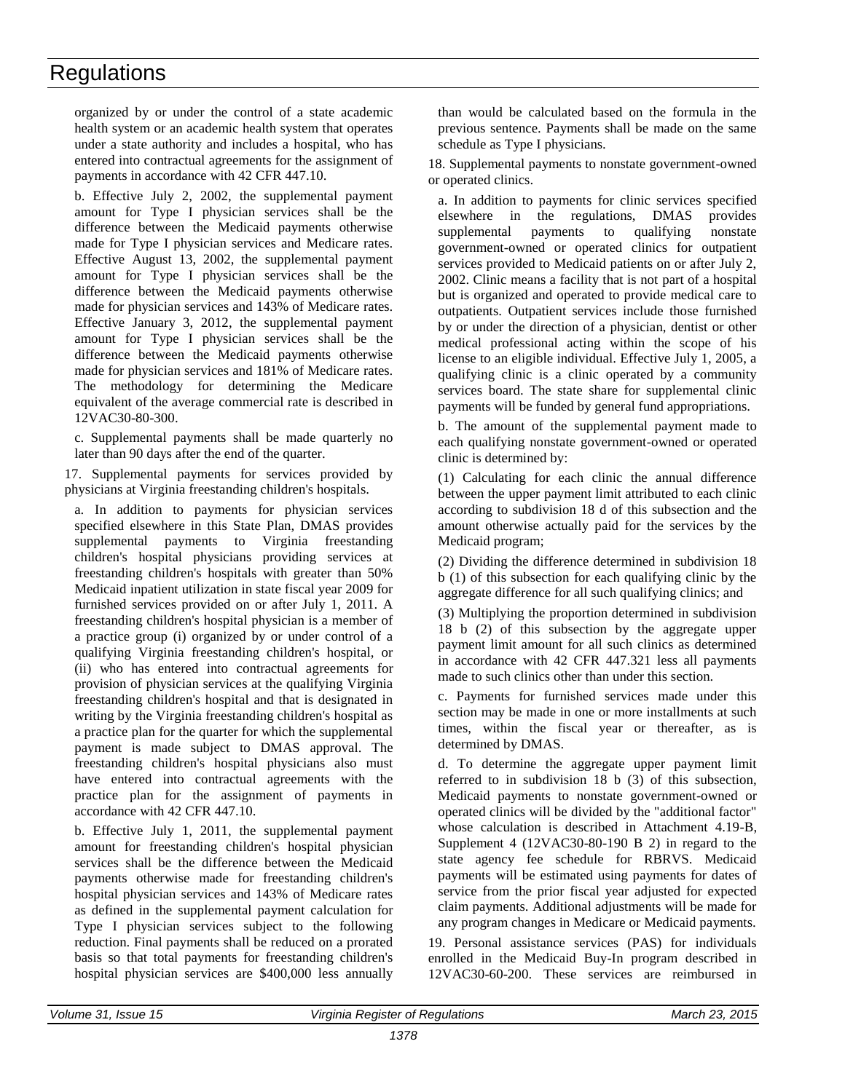organized by or under the control of a state academic health system or an academic health system that operates under a state authority and includes a hospital, who has entered into contractual agreements for the assignment of payments in accordance with 42 CFR 447.10.

b. Effective July 2, 2002, the supplemental payment amount for Type I physician services shall be the difference between the Medicaid payments otherwise made for Type I physician services and Medicare rates. Effective August 13, 2002, the supplemental payment amount for Type I physician services shall be the difference between the Medicaid payments otherwise made for physician services and 143% of Medicare rates. Effective January 3, 2012, the supplemental payment amount for Type I physician services shall be the difference between the Medicaid payments otherwise made for physician services and 181% of Medicare rates. The methodology for determining the Medicare equivalent of the average commercial rate is described in 12VAC30-80-300.

c. Supplemental payments shall be made quarterly no later than 90 days after the end of the quarter.

17. Supplemental payments for services provided by physicians at Virginia freestanding children's hospitals.

a. In addition to payments for physician services specified elsewhere in this State Plan, DMAS provides supplemental payments to Virginia freestanding children's hospital physicians providing services at freestanding children's hospitals with greater than 50% Medicaid inpatient utilization in state fiscal year 2009 for furnished services provided on or after July 1, 2011. A freestanding children's hospital physician is a member of a practice group (i) organized by or under control of a qualifying Virginia freestanding children's hospital, or (ii) who has entered into contractual agreements for provision of physician services at the qualifying Virginia freestanding children's hospital and that is designated in writing by the Virginia freestanding children's hospital as a practice plan for the quarter for which the supplemental payment is made subject to DMAS approval. The freestanding children's hospital physicians also must have entered into contractual agreements with the practice plan for the assignment of payments in accordance with 42 CFR 447.10.

b. Effective July 1, 2011, the supplemental payment amount for freestanding children's hospital physician services shall be the difference between the Medicaid payments otherwise made for freestanding children's hospital physician services and 143% of Medicare rates as defined in the supplemental payment calculation for Type I physician services subject to the following reduction. Final payments shall be reduced on a prorated basis so that total payments for freestanding children's hospital physician services are \$400,000 less annually

than would be calculated based on the formula in the previous sentence. Payments shall be made on the same schedule as Type I physicians.

18. Supplemental payments to nonstate government-owned or operated clinics.

a. In addition to payments for clinic services specified elsewhere in the regulations, DMAS provides supplemental payments to qualifying nonstate government-owned or operated clinics for outpatient services provided to Medicaid patients on or after July 2, 2002. Clinic means a facility that is not part of a hospital but is organized and operated to provide medical care to outpatients. Outpatient services include those furnished by or under the direction of a physician, dentist or other medical professional acting within the scope of his license to an eligible individual. Effective July 1, 2005, a qualifying clinic is a clinic operated by a community services board. The state share for supplemental clinic payments will be funded by general fund appropriations.

b. The amount of the supplemental payment made to each qualifying nonstate government-owned or operated clinic is determined by:

(1) Calculating for each clinic the annual difference between the upper payment limit attributed to each clinic according to subdivision 18 d of this subsection and the amount otherwise actually paid for the services by the Medicaid program;

(2) Dividing the difference determined in subdivision 18 b (1) of this subsection for each qualifying clinic by the aggregate difference for all such qualifying clinics; and

(3) Multiplying the proportion determined in subdivision 18 b (2) of this subsection by the aggregate upper payment limit amount for all such clinics as determined in accordance with 42 CFR 447.321 less all payments made to such clinics other than under this section.

c. Payments for furnished services made under this section may be made in one or more installments at such times, within the fiscal year or thereafter, as is determined by DMAS.

d. To determine the aggregate upper payment limit referred to in subdivision 18 b (3) of this subsection, Medicaid payments to nonstate government-owned or operated clinics will be divided by the "additional factor" whose calculation is described in Attachment 4.19-B, Supplement 4 (12VAC30-80-190 B 2) in regard to the state agency fee schedule for RBRVS. Medicaid payments will be estimated using payments for dates of service from the prior fiscal year adjusted for expected claim payments. Additional adjustments will be made for any program changes in Medicare or Medicaid payments.

19. Personal assistance services (PAS) for individuals enrolled in the Medicaid Buy-In program described in 12VAC30-60-200. These services are reimbursed in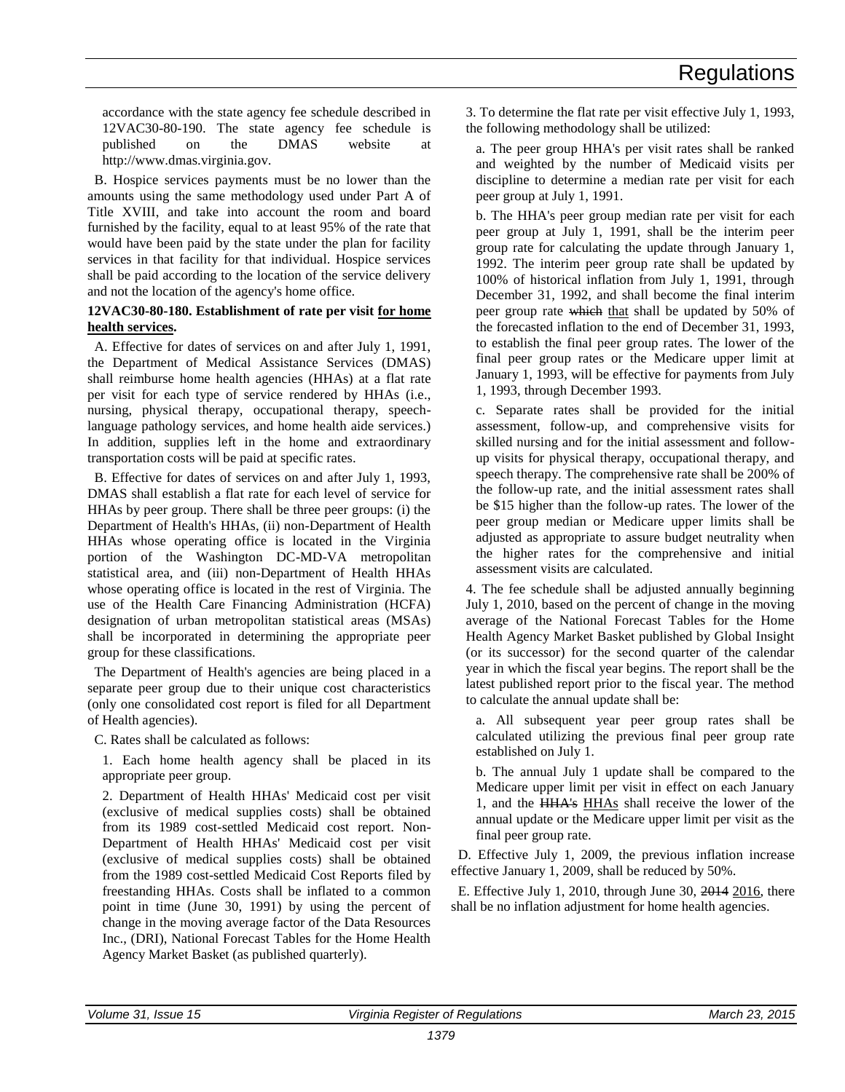accordance with the state agency fee schedule described in 12VAC30-80-190. The state agency fee schedule is published on the DMAS website at http://www.dmas.virginia.gov.

B. Hospice services payments must be no lower than the amounts using the same methodology used under Part A of Title XVIII, and take into account the room and board furnished by the facility, equal to at least 95% of the rate that would have been paid by the state under the plan for facility services in that facility for that individual. Hospice services shall be paid according to the location of the service delivery and not the location of the agency's home office.

#### **12VAC30-80-180. Establishment of rate per visit for home health services.**

A. Effective for dates of services on and after July 1, 1991, the Department of Medical Assistance Services (DMAS) shall reimburse home health agencies (HHAs) at a flat rate per visit for each type of service rendered by HHAs (i.e., nursing, physical therapy, occupational therapy, speechlanguage pathology services, and home health aide services.) In addition, supplies left in the home and extraordinary transportation costs will be paid at specific rates.

B. Effective for dates of services on and after July 1, 1993, DMAS shall establish a flat rate for each level of service for HHAs by peer group. There shall be three peer groups: (i) the Department of Health's HHAs, (ii) non-Department of Health HHAs whose operating office is located in the Virginia portion of the Washington DC-MD-VA metropolitan statistical area, and (iii) non-Department of Health HHAs whose operating office is located in the rest of Virginia. The use of the Health Care Financing Administration (HCFA) designation of urban metropolitan statistical areas (MSAs) shall be incorporated in determining the appropriate peer group for these classifications.

The Department of Health's agencies are being placed in a separate peer group due to their unique cost characteristics (only one consolidated cost report is filed for all Department of Health agencies).

C. Rates shall be calculated as follows:

1. Each home health agency shall be placed in its appropriate peer group.

2. Department of Health HHAs' Medicaid cost per visit (exclusive of medical supplies costs) shall be obtained from its 1989 cost-settled Medicaid cost report. Non-Department of Health HHAs' Medicaid cost per visit (exclusive of medical supplies costs) shall be obtained from the 1989 cost-settled Medicaid Cost Reports filed by freestanding HHAs. Costs shall be inflated to a common point in time (June 30, 1991) by using the percent of change in the moving average factor of the Data Resources Inc., (DRI), National Forecast Tables for the Home Health Agency Market Basket (as published quarterly).

3. To determine the flat rate per visit effective July 1, 1993, the following methodology shall be utilized:

a. The peer group HHA's per visit rates shall be ranked and weighted by the number of Medicaid visits per discipline to determine a median rate per visit for each peer group at July 1, 1991.

b. The HHA's peer group median rate per visit for each peer group at July 1, 1991, shall be the interim peer group rate for calculating the update through January 1, 1992. The interim peer group rate shall be updated by 100% of historical inflation from July 1, 1991, through December 31, 1992, and shall become the final interim peer group rate which that shall be updated by 50% of the forecasted inflation to the end of December 31, 1993, to establish the final peer group rates. The lower of the final peer group rates or the Medicare upper limit at January 1, 1993, will be effective for payments from July 1, 1993, through December 1993.

c. Separate rates shall be provided for the initial assessment, follow-up, and comprehensive visits for skilled nursing and for the initial assessment and followup visits for physical therapy, occupational therapy, and speech therapy. The comprehensive rate shall be 200% of the follow-up rate, and the initial assessment rates shall be \$15 higher than the follow-up rates. The lower of the peer group median or Medicare upper limits shall be adjusted as appropriate to assure budget neutrality when the higher rates for the comprehensive and initial assessment visits are calculated.

4. The fee schedule shall be adjusted annually beginning July 1, 2010, based on the percent of change in the moving average of the National Forecast Tables for the Home Health Agency Market Basket published by Global Insight (or its successor) for the second quarter of the calendar year in which the fiscal year begins. The report shall be the latest published report prior to the fiscal year. The method to calculate the annual update shall be:

a. All subsequent year peer group rates shall be calculated utilizing the previous final peer group rate established on July 1.

b. The annual July 1 update shall be compared to the Medicare upper limit per visit in effect on each January 1, and the HHA's HHAs shall receive the lower of the annual update or the Medicare upper limit per visit as the final peer group rate.

D. Effective July 1, 2009, the previous inflation increase effective January 1, 2009, shall be reduced by 50%.

E. Effective July 1, 2010, through June 30, 2014 2016, there shall be no inflation adjustment for home health agencies.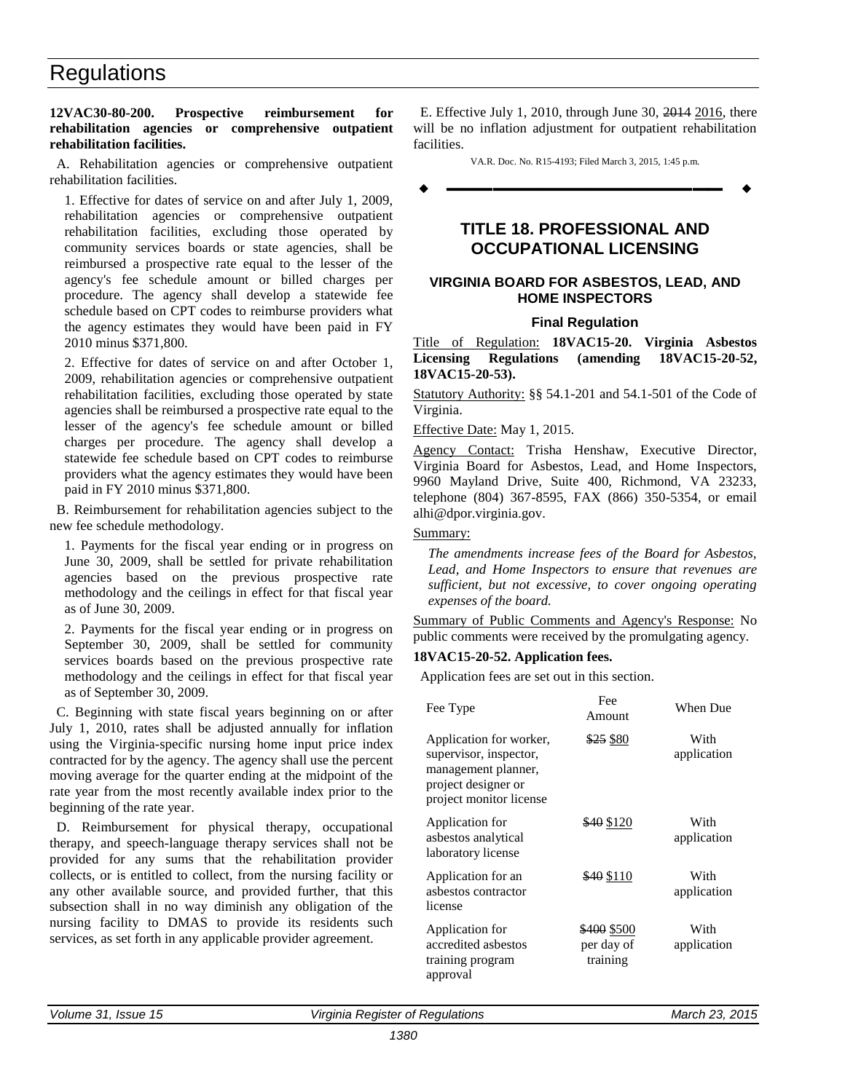#### <span id="page-15-0"></span>**12VAC30-80-200. Prospective reimbursement for rehabilitation agencies or comprehensive outpatient rehabilitation facilities.**

A. Rehabilitation agencies or comprehensive outpatient rehabilitation facilities.

1. Effective for dates of service on and after July 1, 2009, rehabilitation agencies or comprehensive outpatient rehabilitation facilities, excluding those operated by community services boards or state agencies, shall be reimbursed a prospective rate equal to the lesser of the agency's fee schedule amount or billed charges per procedure. The agency shall develop a statewide fee schedule based on CPT codes to reimburse providers what the agency estimates they would have been paid in FY 2010 minus \$371,800.

2. Effective for dates of service on and after October 1, 2009, rehabilitation agencies or comprehensive outpatient rehabilitation facilities, excluding those operated by state agencies shall be reimbursed a prospective rate equal to the lesser of the agency's fee schedule amount or billed charges per procedure. The agency shall develop a statewide fee schedule based on CPT codes to reimburse providers what the agency estimates they would have been paid in FY 2010 minus \$371,800.

B. Reimbursement for rehabilitation agencies subject to the new fee schedule methodology.

1. Payments for the fiscal year ending or in progress on June 30, 2009, shall be settled for private rehabilitation agencies based on the previous prospective rate methodology and the ceilings in effect for that fiscal year as of June 30, 2009.

2. Payments for the fiscal year ending or in progress on September 30, 2009, shall be settled for community services boards based on the previous prospective rate methodology and the ceilings in effect for that fiscal year as of September 30, 2009.

C. Beginning with state fiscal years beginning on or after July 1, 2010, rates shall be adjusted annually for inflation using the Virginia-specific nursing home input price index contracted for by the agency. The agency shall use the percent moving average for the quarter ending at the midpoint of the rate year from the most recently available index prior to the beginning of the rate year.

D. Reimbursement for physical therapy, occupational therapy, and speech-language therapy services shall not be provided for any sums that the rehabilitation provider collects, or is entitled to collect, from the nursing facility or any other available source, and provided further, that this subsection shall in no way diminish any obligation of the nursing facility to DMAS to provide its residents such services, as set forth in any applicable provider agreement.

E. Effective July 1, 2010, through June 30, 2014 2016, there will be no inflation adjustment for outpatient rehabilitation facilities.

VA.R. Doc. No. R15-4193; Filed March 3, 2015, 1:45 p.m.

**––––––––––––––––––**

### **TITLE 18. PROFESSIONAL AND OCCUPATIONAL LICENSING**

#### **VIRGINIA BOARD FOR ASBESTOS, LEAD, AND HOME INSPECTORS**

#### **Final Regulation**

Title of Regulation: **18VAC15-20. Virginia Asbestos Licensing Regulations (amending 18VAC15-20-52, 18VAC15-20-53).** 

Statutory Authority: §§ 54.1-201 and 54.1-501 of the Code of Virginia.

Effective Date: May 1, 2015.

Agency Contact: Trisha Henshaw, Executive Director, Virginia Board for Asbestos, Lead, and Home Inspectors, 9960 Mayland Drive, Suite 400, Richmond, VA 23233, telephone (804) 367-8595, FAX (866) 350-5354, or email alhi@dpor.virginia.gov.

#### Summary:

*The amendments increase fees of the Board for Asbestos, Lead, and Home Inspectors to ensure that revenues are sufficient, but not excessive, to cover ongoing operating expenses of the board.*

Summary of Public Comments and Agency's Response: No public comments were received by the promulgating agency.

#### **18VAC15-20-52. Application fees.**

Application fees are set out in this section.

| Fee Type                                                                                                                   | Fee<br>Amount                         | When Due            |
|----------------------------------------------------------------------------------------------------------------------------|---------------------------------------|---------------------|
| Application for worker,<br>supervisor, inspector,<br>management planner,<br>project designer or<br>project monitor license | $$25$ \$80                            | With<br>application |
| Application for<br>asbestos analytical<br>laboratory license                                                               | \$40 \$120                            | With<br>application |
| Application for an<br>asbestos contractor<br>license                                                                       | \$40 \$110                            | With<br>application |
| Application for<br>accredited asbestos<br>training program<br>approval                                                     | \$400 \$500<br>per day of<br>training | With<br>application |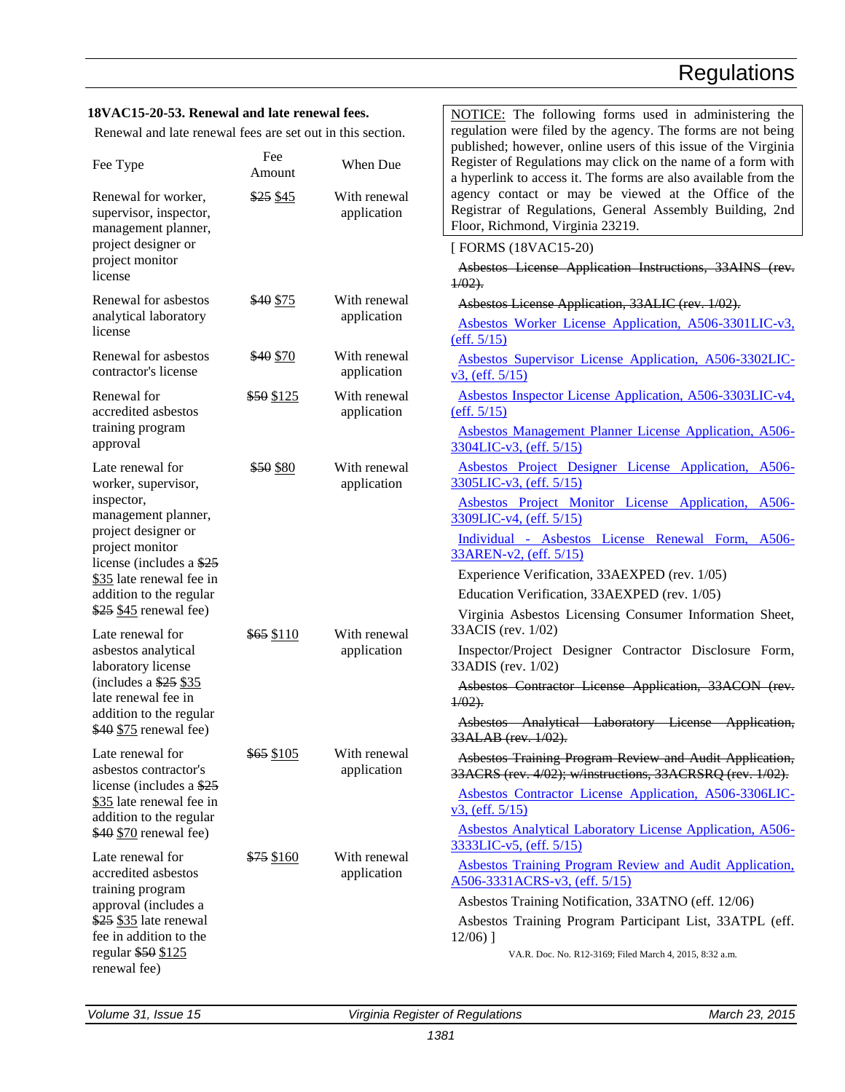NOTICE: The following forms used in administering the

#### **18VAC15-20-53. Renewal and late renewal fees.**

| Renewal and late renewal fees are set out in this section.                       |               |                             | regulation were filed by the agency. The forms are not being                                                                                                                                      |  |  |
|----------------------------------------------------------------------------------|---------------|-----------------------------|---------------------------------------------------------------------------------------------------------------------------------------------------------------------------------------------------|--|--|
| Fee Type                                                                         | Fee<br>Amount | When Due                    | published; however, online users of this issue of the Virginia<br>Register of Regulations may click on the name of a form with<br>a hyperlink to access it. The forms are also available from the |  |  |
| Renewal for worker,<br>supervisor, inspector,<br>management planner,             | \$25 \$45     | With renewal<br>application | agency contact or may be viewed at the Office of the<br>Registrar of Regulations, General Assembly Building, 2nd<br>Floor, Richmond, Virginia 23219.                                              |  |  |
| project designer or                                                              |               |                             | [FORMS (18VAC15-20)                                                                                                                                                                               |  |  |
| project monitor<br>license                                                       |               |                             | Asbestos License Application Instructions, 33AINS (rev.<br>$1/02$ .                                                                                                                               |  |  |
| Renewal for asbestos                                                             | \$40 \$75     | With renewal                | Asbestos License Application, 33ALIC (rev. 1/02).                                                                                                                                                 |  |  |
| application<br>analytical laboratory<br>license                                  |               |                             | Asbestos Worker License Application, A506-3301LIC-v3,<br>(eff. 5/15)                                                                                                                              |  |  |
| Renewal for asbestos<br>contractor's license                                     | \$40 \$70     | With renewal<br>application | Asbestos Supervisor License Application, A506-3302LIC-<br>v3, (eff. 5/15)                                                                                                                         |  |  |
| Renewal for<br>accredited asbestos                                               | \$50 \$125    | With renewal<br>application | Asbestos Inspector License Application, A506-3303LIC-v4,<br>(eff. 5/15)                                                                                                                           |  |  |
| training program<br>approval                                                     |               |                             | Asbestos Management Planner License Application, A506-<br>3304LIC-v3, (eff. 5/15)                                                                                                                 |  |  |
| Late renewal for<br>worker, supervisor,                                          | \$50 \$80     | With renewal<br>application | Asbestos Project Designer License Application, A506-<br>3305LIC-v3, (eff. 5/15)                                                                                                                   |  |  |
| inspector,<br>management planner,                                                |               |                             | Asbestos Project Monitor License Application, A506-<br>3309LIC-v4, (eff. 5/15)                                                                                                                    |  |  |
| project designer or<br>project monitor<br>license (includes a \$25               |               |                             | Individual - Asbestos License Renewal Form, A506-<br>33AREN-v2, (eff. 5/15)                                                                                                                       |  |  |
| \$35 late renewal fee in                                                         |               |                             | Experience Verification, 33AEXPED (rev. 1/05)                                                                                                                                                     |  |  |
| addition to the regular                                                          |               |                             | Education Verification, 33AEXPED (rev. 1/05)                                                                                                                                                      |  |  |
| $$25 \underline{845}$ renewal fee)<br>Late renewal for                           | $$65$ \$110   | With renewal                | Virginia Asbestos Licensing Consumer Information Sheet,<br>33ACIS (rev. 1/02)                                                                                                                     |  |  |
| asbestos analytical<br>laboratory license                                        |               | application                 | Inspector/Project Designer Contractor Disclosure Form,<br>33ADIS (rev. 1/02)                                                                                                                      |  |  |
| (includes a $$25$ $$35$<br>late renewal fee in                                   |               |                             | Asbestos Contractor License Application, 33ACON (rev.<br>$1/02$ .                                                                                                                                 |  |  |
| addition to the regular<br>$$40 \underline{$75}$ renewal fee)                    |               |                             | Asbestos Analytical Laboratory License Application,<br>33ALAB (rev. 1/02).                                                                                                                        |  |  |
| Late renewal for<br>asbestos contractor's                                        | \$65 \$105    | With renewal<br>application | Asbestos Training Program Review and Audit Application,<br>33ACRS (rev. 4/02); w/instructions, 33ACRSRQ (rev. 1/02).                                                                              |  |  |
| license (includes a $$25$<br>\$35 late renewal fee in<br>addition to the regular |               |                             | Asbestos Contractor License Application, A506-3306LIC-<br>v3, (eff. 5/15)                                                                                                                         |  |  |
| $$40$ $$70$ renewal fee)                                                         |               |                             | <b>Asbestos Analytical Laboratory License Application, A506-</b><br><u>3333LIC-v5, (eff. 5/15)</u>                                                                                                |  |  |
| Late renewal for<br>accredited asbestos                                          | \$75 \$160    | With renewal<br>application | <b>Asbestos Training Program Review and Audit Application.</b><br>A506-3331ACRS-v3, (eff. 5/15)                                                                                                   |  |  |
| training program<br>approval (includes a                                         |               |                             | Asbestos Training Notification, 33ATNO (eff. 12/06)                                                                                                                                               |  |  |
| \$25 \$35 late renewal<br>fee in addition to the                                 |               |                             | Asbestos Training Program Participant List, 33ATPL (eff.<br>$12/06$ )]                                                                                                                            |  |  |
| regular \$50 \$125<br>renewal fee)                                               |               |                             | VA.R. Doc. No. R12-3169; Filed March 4, 2015, 8:32 a.m.                                                                                                                                           |  |  |

*Volume 31, Issue 15 Virginia Register of Regulations March 23, 2015*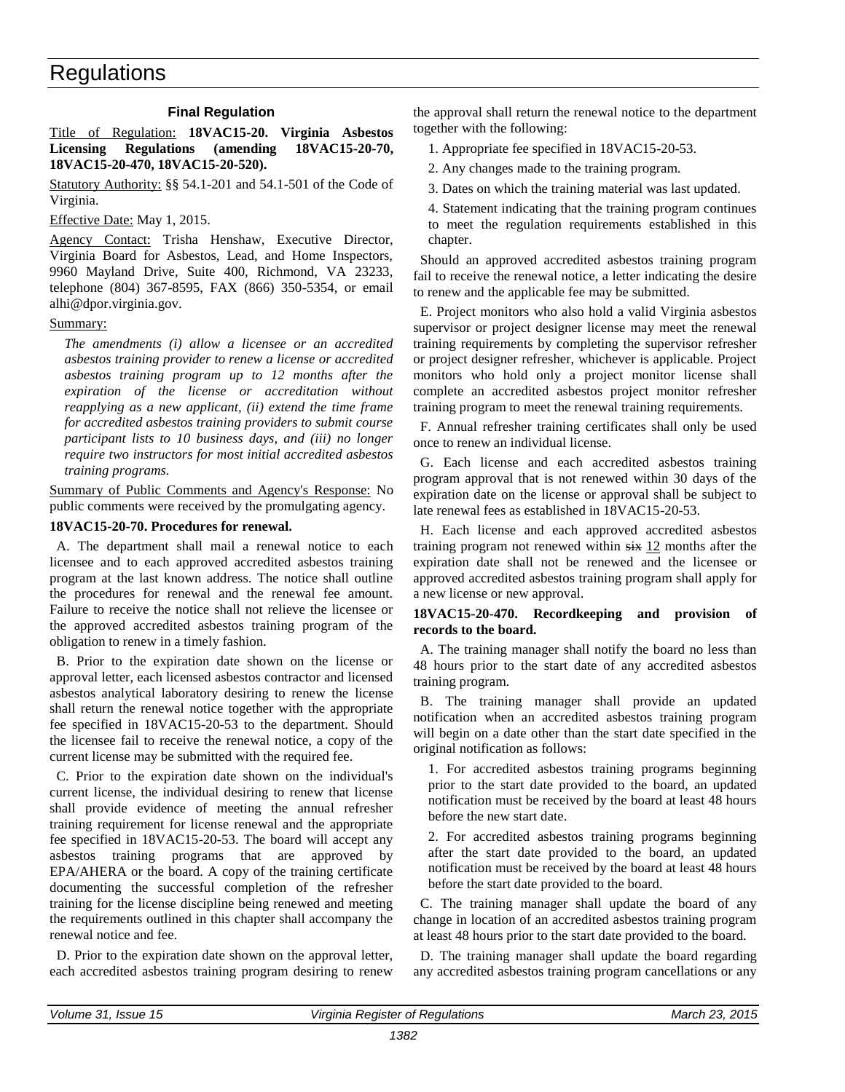#### **Final Regulation**

<span id="page-17-0"></span>Title of Regulation: **18VAC15-20. Virginia Asbestos Licensing Regulations (amending 18VAC15-20-70, 18VAC15-20-470, 18VAC15-20-520).** 

Statutory Authority: §§ 54.1-201 and 54.1-501 of the Code of Virginia.

Effective Date: May 1, 2015.

Agency Contact: Trisha Henshaw, Executive Director, Virginia Board for Asbestos, Lead, and Home Inspectors, 9960 Mayland Drive, Suite 400, Richmond, VA 23233, telephone (804) 367-8595, FAX (866) 350-5354, or email alhi@dpor.virginia.gov.

#### Summary:

*The amendments (i) allow a licensee or an accredited asbestos training provider to renew a license or accredited asbestos training program up to 12 months after the expiration of the license or accreditation without reapplying as a new applicant, (ii) extend the time frame for accredited asbestos training providers to submit course participant lists to 10 business days, and (iii) no longer require two instructors for most initial accredited asbestos training programs.*

Summary of Public Comments and Agency's Response: No public comments were received by the promulgating agency.

#### **18VAC15-20-70. Procedures for renewal.**

A. The department shall mail a renewal notice to each licensee and to each approved accredited asbestos training program at the last known address. The notice shall outline the procedures for renewal and the renewal fee amount. Failure to receive the notice shall not relieve the licensee or the approved accredited asbestos training program of the obligation to renew in a timely fashion.

B. Prior to the expiration date shown on the license or approval letter, each licensed asbestos contractor and licensed asbestos analytical laboratory desiring to renew the license shall return the renewal notice together with the appropriate fee specified in 18VAC15-20-53 to the department. Should the licensee fail to receive the renewal notice, a copy of the current license may be submitted with the required fee.

C. Prior to the expiration date shown on the individual's current license, the individual desiring to renew that license shall provide evidence of meeting the annual refresher training requirement for license renewal and the appropriate fee specified in 18VAC15-20-53. The board will accept any asbestos training programs that are approved by EPA/AHERA or the board. A copy of the training certificate documenting the successful completion of the refresher training for the license discipline being renewed and meeting the requirements outlined in this chapter shall accompany the renewal notice and fee.

D. Prior to the expiration date shown on the approval letter, each accredited asbestos training program desiring to renew the approval shall return the renewal notice to the department together with the following:

1. Appropriate fee specified in 18VAC15-20-53.

2. Any changes made to the training program.

3. Dates on which the training material was last updated.

4. Statement indicating that the training program continues to meet the regulation requirements established in this chapter.

Should an approved accredited asbestos training program fail to receive the renewal notice, a letter indicating the desire to renew and the applicable fee may be submitted.

E. Project monitors who also hold a valid Virginia asbestos supervisor or project designer license may meet the renewal training requirements by completing the supervisor refresher or project designer refresher, whichever is applicable. Project monitors who hold only a project monitor license shall complete an accredited asbestos project monitor refresher training program to meet the renewal training requirements.

F. Annual refresher training certificates shall only be used once to renew an individual license.

G. Each license and each accredited asbestos training program approval that is not renewed within 30 days of the expiration date on the license or approval shall be subject to late renewal fees as established in 18VAC15-20-53.

H. Each license and each approved accredited asbestos training program not renewed within  $s$ ix 12 months after the expiration date shall not be renewed and the licensee or approved accredited asbestos training program shall apply for a new license or new approval.

#### **18VAC15-20-470. Recordkeeping and provision of records to the board.**

A. The training manager shall notify the board no less than 48 hours prior to the start date of any accredited asbestos training program.

B. The training manager shall provide an updated notification when an accredited asbestos training program will begin on a date other than the start date specified in the original notification as follows:

1. For accredited asbestos training programs beginning prior to the start date provided to the board, an updated notification must be received by the board at least 48 hours before the new start date.

2. For accredited asbestos training programs beginning after the start date provided to the board, an updated notification must be received by the board at least 48 hours before the start date provided to the board.

C. The training manager shall update the board of any change in location of an accredited asbestos training program at least 48 hours prior to the start date provided to the board.

D. The training manager shall update the board regarding any accredited asbestos training program cancellations or any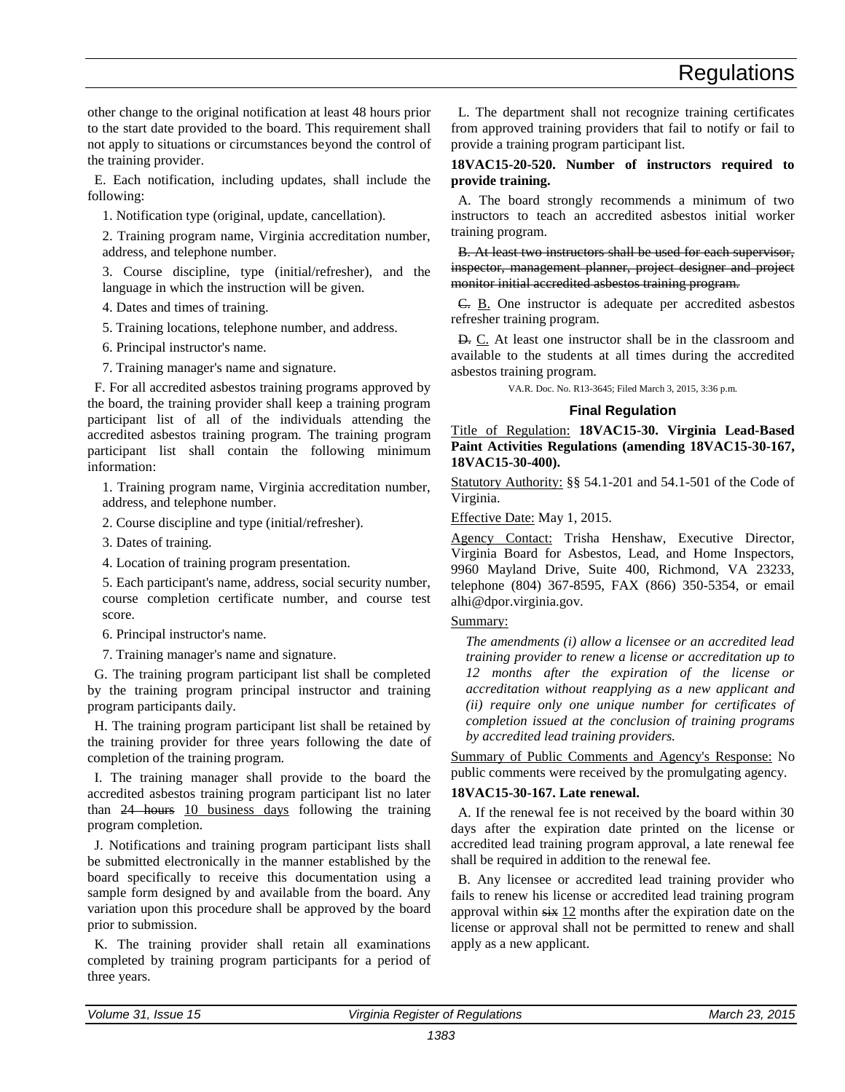<span id="page-18-0"></span>other change to the original notification at least 48 hours prior to the start date provided to the board. This requirement shall not apply to situations or circumstances beyond the control of the training provider.

E. Each notification, including updates, shall include the following:

1. Notification type (original, update, cancellation).

2. Training program name, Virginia accreditation number, address, and telephone number.

3. Course discipline, type (initial/refresher), and the language in which the instruction will be given.

- 4. Dates and times of training.
- 5. Training locations, telephone number, and address.
- 6. Principal instructor's name.

7. Training manager's name and signature.

F. For all accredited asbestos training programs approved by the board, the training provider shall keep a training program participant list of all of the individuals attending the accredited asbestos training program. The training program participant list shall contain the following minimum information:

1. Training program name, Virginia accreditation number, address, and telephone number.

- 2. Course discipline and type (initial/refresher).
- 3. Dates of training.
- 4. Location of training program presentation.

5. Each participant's name, address, social security number, course completion certificate number, and course test score.

- 6. Principal instructor's name.
- 7. Training manager's name and signature.

G. The training program participant list shall be completed by the training program principal instructor and training program participants daily.

H. The training program participant list shall be retained by the training provider for three years following the date of completion of the training program.

I. The training manager shall provide to the board the accredited asbestos training program participant list no later than 24 hours 10 business days following the training program completion.

J. Notifications and training program participant lists shall be submitted electronically in the manner established by the board specifically to receive this documentation using a sample form designed by and available from the board. Any variation upon this procedure shall be approved by the board prior to submission.

K. The training provider shall retain all examinations completed by training program participants for a period of three years.

L. The department shall not recognize training certificates from approved training providers that fail to notify or fail to provide a training program participant list.

#### **18VAC15-20-520. Number of instructors required to provide training.**

A. The board strongly recommends a minimum of two instructors to teach an accredited asbestos initial worker training program.

B. At least two instructors shall be used for each supervisor, inspector, management planner, project designer and project monitor initial accredited asbestos training program.

C. B. One instructor is adequate per accredited asbestos refresher training program.

D. C. At least one instructor shall be in the classroom and available to the students at all times during the accredited asbestos training program.

VA.R. Doc. No. R13-3645; Filed March 3, 2015, 3:36 p.m.

#### **Final Regulation**

Title of Regulation: **18VAC15-30. Virginia Lead-Based Paint Activities Regulations (amending 18VAC15-30-167, 18VAC15-30-400).** 

Statutory Authority: §§ 54.1-201 and 54.1-501 of the Code of Virginia.

Effective Date: May 1, 2015.

Agency Contact: Trisha Henshaw, Executive Director, Virginia Board for Asbestos, Lead, and Home Inspectors, 9960 Mayland Drive, Suite 400, Richmond, VA 23233, telephone (804) 367-8595, FAX (866) 350-5354, or email alhi@dpor.virginia.gov.

#### Summary:

*The amendments (i) allow a licensee or an accredited lead training provider to renew a license or accreditation up to 12 months after the expiration of the license or accreditation without reapplying as a new applicant and (ii) require only one unique number for certificates of completion issued at the conclusion of training programs by accredited lead training providers.*

Summary of Public Comments and Agency's Response: No public comments were received by the promulgating agency.

#### **18VAC15-30-167. Late renewal.**

A. If the renewal fee is not received by the board within 30 days after the expiration date printed on the license or accredited lead training program approval, a late renewal fee shall be required in addition to the renewal fee.

B. Any licensee or accredited lead training provider who fails to renew his license or accredited lead training program approval within six 12 months after the expiration date on the license or approval shall not be permitted to renew and shall apply as a new applicant.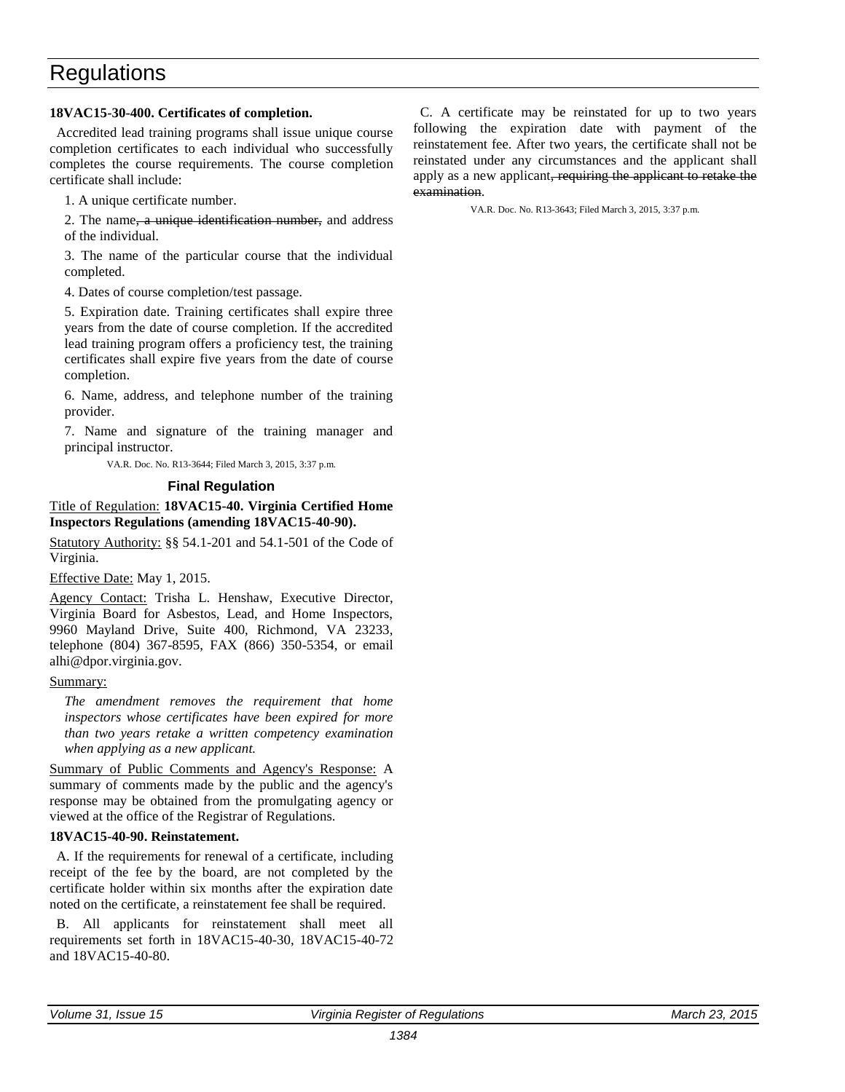#### <span id="page-19-0"></span>**18VAC15-30-400. Certificates of completion.**

Accredited lead training programs shall issue unique course completion certificates to each individual who successfully completes the course requirements. The course completion certificate shall include:

1. A unique certificate number.

2. The name, a unique identification number, and address of the individual.

3. The name of the particular course that the individual completed.

4. Dates of course completion/test passage.

5. Expiration date. Training certificates shall expire three years from the date of course completion. If the accredited lead training program offers a proficiency test, the training certificates shall expire five years from the date of course completion.

6. Name, address, and telephone number of the training provider.

7. Name and signature of the training manager and principal instructor.

VA.R. Doc. No. R13-3644; Filed March 3, 2015, 3:37 p.m.

#### **Final Regulation**

#### Title of Regulation: **18VAC15-40. Virginia Certified Home Inspectors Regulations (amending 18VAC15-40-90).**

Statutory Authority: §§ 54.1-201 and 54.1-501 of the Code of Virginia.

Effective Date: May 1, 2015.

Agency Contact: Trisha L. Henshaw, Executive Director, Virginia Board for Asbestos, Lead, and Home Inspectors, 9960 Mayland Drive, Suite 400, Richmond, VA 23233, telephone (804) 367-8595, FAX (866) 350-5354, or email alhi@dpor.virginia.gov.

#### Summary:

*The amendment removes the requirement that home inspectors whose certificates have been expired for more than two years retake a written competency examination when applying as a new applicant.*

Summary of Public Comments and Agency's Response: A summary of comments made by the public and the agency's response may be obtained from the promulgating agency or viewed at the office of the Registrar of Regulations.

#### **18VAC15-40-90. Reinstatement.**

A. If the requirements for renewal of a certificate, including receipt of the fee by the board, are not completed by the certificate holder within six months after the expiration date noted on the certificate, a reinstatement fee shall be required.

B. All applicants for reinstatement shall meet all requirements set forth in 18VAC15-40-30, 18VAC15-40-72 and 18VAC15-40-80.

C. A certificate may be reinstated for up to two years following the expiration date with payment of the reinstatement fee. After two years, the certificate shall not be reinstated under any circumstances and the applicant shall apply as a new applicant, requiring the applicant to retake the examination.

VA.R. Doc. No. R13-3643; Filed March 3, 2015, 3:37 p.m.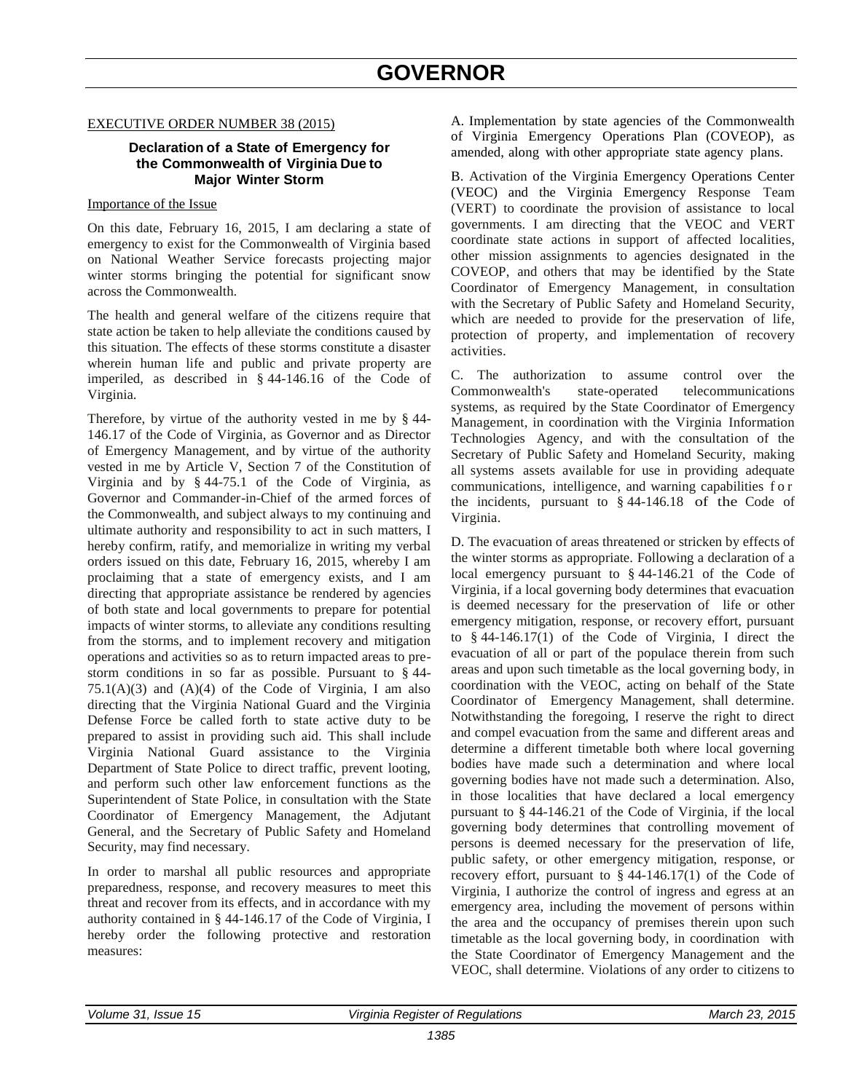#### <span id="page-20-0"></span>EXECUTIVE ORDER NUMBER 38 (2015)

#### **Declaration of a State of Emergency for the Commonwealth of Virginia Due to Major Winter Storm**

#### Importance of the Issue

On this date, February 16, 2015, I am declaring a state of emergency to exist for the Commonwealth of Virginia based on National Weather Service forecasts projecting major winter storms bringing the potential for significant snow across the Commonwealth.

The health and general welfare of the citizens require that state action be taken to help alleviate the conditions caused by this situation. The effects of these storms constitute a disaster wherein human life and public and private property are imperiled, as described in § 44-146.16 of the Code of Virginia.

Therefore, by virtue of the authority vested in me by § 44- 146.17 of the Code of Virginia, as Governor and as Director of Emergency Management, and by virtue of the authority vested in me by Article V, Section 7 of the Constitution of Virginia and by § 44-75.1 of the Code of Virginia, as Governor and Commander-in-Chief of the armed forces of the Commonwealth, and subject always to my continuing and ultimate authority and responsibility to act in such matters, I hereby confirm, ratify, and memorialize in writing my verbal orders issued on this date, February 16, 2015, whereby I am proclaiming that a state of emergency exists, and I am directing that appropriate assistance be rendered by agencies of both state and local governments to prepare for potential impacts of winter storms, to alleviate any conditions resulting from the storms, and to implement recovery and mitigation operations and activities so as to return impacted areas to prestorm conditions in so far as possible. Pursuant to § 44-  $75.1(A)(3)$  and  $(A)(4)$  of the Code of Virginia, I am also directing that the Virginia National Guard and the Virginia Defense Force be called forth to state active duty to be prepared to assist in providing such aid. This shall include Virginia National Guard assistance to the Virginia Department of State Police to direct traffic, prevent looting, and perform such other law enforcement functions as the Superintendent of State Police, in consultation with the State Coordinator of Emergency Management, the Adjutant General, and the Secretary of Public Safety and Homeland Security, may find necessary.

In order to marshal all public resources and appropriate preparedness, response, and recovery measures to meet this threat and recover from its effects, and in accordance with my authority contained in § 44-146.17 of the Code of Virginia, I hereby order the following protective and restoration measures:

A. Implementation by state agencies of the Commonwealth of Virginia Emergency Operations Plan (COVEOP), as amended, along with other appropriate state agency plans.

B. Activation of the Virginia Emergency Operations Center (VEOC) and the Virginia Emergency Response Team (VERT) to coordinate the provision of assistance to local governments. I am directing that the VEOC and VERT coordinate state actions in support of affected localities, other mission assignments to agencies designated in the COVEOP, and others that may be identified by the State Coordinator of Emergency Management, in consultation with the Secretary of Public Safety and Homeland Security, which are needed to provide for the preservation of life, protection of property, and implementation of recovery activities.

C. The authorization to assume control over the Commonwealth's state-operated telecommunications systems, as required by the State Coordinator of Emergency Management, in coordination with the Virginia Information Technologies Agency, and with the consultation of the Secretary of Public Safety and Homeland Security, making all systems assets available for use in providing adequate communications, intelligence, and warning capabilities f o r the incidents, pursuant to § 44-146.18 of the Code of Virginia.

D. The evacuation of areas threatened or stricken by effects of the winter storms as appropriate. Following a declaration of a local emergency pursuant to § 44-146.21 of the Code of Virginia, if a local governing body determines that evacuation is deemed necessary for the preservation of life or other emergency mitigation, response, or recovery effort, pursuant to § 44-146.17(1) of the Code of Virginia, I direct the evacuation of all or part of the populace therein from such areas and upon such timetable as the local governing body, in coordination with the VEOC, acting on behalf of the State Coordinator of Emergency Management, shall determine. Notwithstanding the foregoing, I reserve the right to direct and compel evacuation from the same and different areas and determine a different timetable both where local governing bodies have made such a determination and where local governing bodies have not made such a determination. Also, in those localities that have declared a local emergency pursuant to § 44-146.21 of the Code of Virginia, if the local governing body determines that controlling movement of persons is deemed necessary for the preservation of life, public safety, or other emergency mitigation, response, or recovery effort, pursuant to § 44-146.17(1) of the Code of Virginia, I authorize the control of ingress and egress at an emergency area, including the movement of persons within the area and the occupancy of premises therein upon such timetable as the local governing body, in coordination with the State Coordinator of Emergency Management and the VEOC, shall determine. Violations of any order to citizens to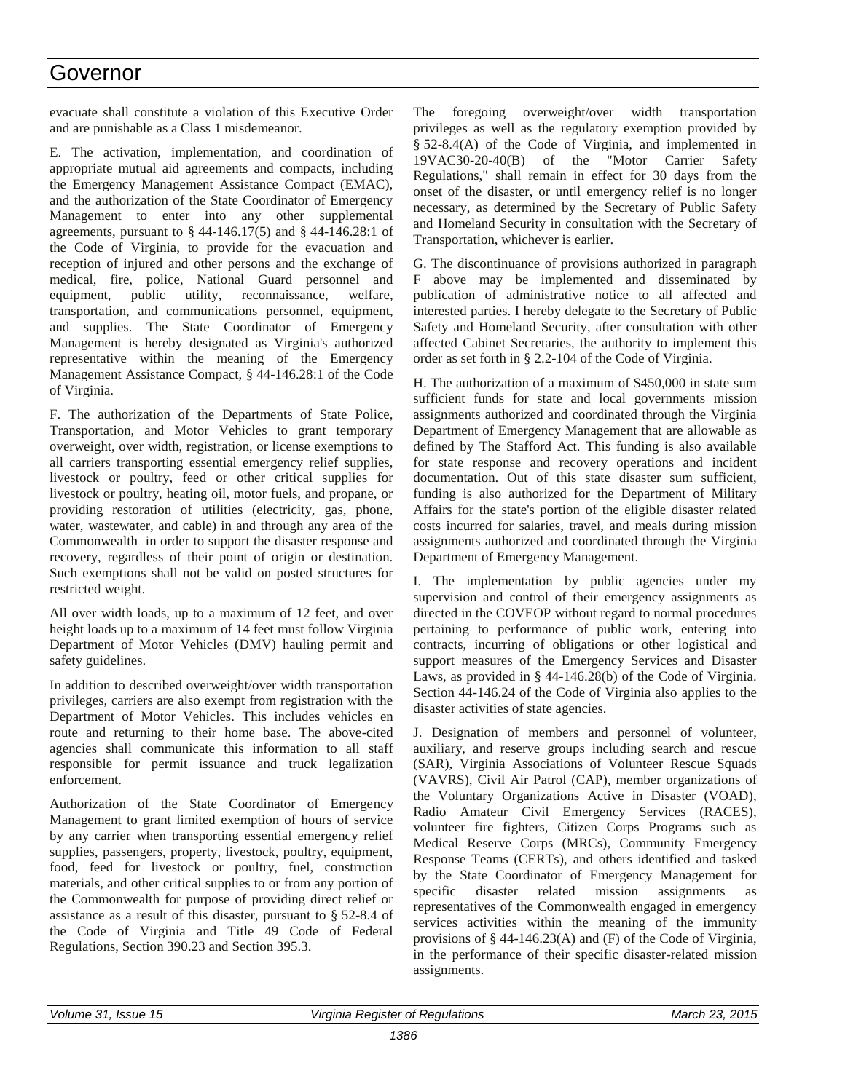### Governor

evacuate shall constitute a violation of this Executive Order and are punishable as a Class 1 misdemeanor.

E. The activation, implementation, and coordination of appropriate mutual aid agreements and compacts, including the Emergency Management Assistance Compact (EMAC), and the authorization of the State Coordinator of Emergency Management to enter into any other supplemental agreements, pursuant to § 44-146.17(5) and § 44-146.28:1 of the Code of Virginia, to provide for the evacuation and reception of injured and other persons and the exchange of medical, fire, police, National Guard personnel and equipment, public utility, reconnaissance, welfare, transportation, and communications personnel, equipment, and supplies. The State Coordinator of Emergency Management is hereby designated as Virginia's authorized representative within the meaning of the Emergency Management Assistance Compact, § 44-146.28:1 of the Code of Virginia.

F. The authorization of the Departments of State Police, Transportation, and Motor Vehicles to grant temporary overweight, over width, registration, or license exemptions to all carriers transporting essential emergency relief supplies, livestock or poultry, feed or other critical supplies for livestock or poultry, heating oil, motor fuels, and propane, or providing restoration of utilities (electricity, gas, phone, water, wastewater, and cable) in and through any area of the Commonwealth in order to support the disaster response and recovery, regardless of their point of origin or destination. Such exemptions shall not be valid on posted structures for restricted weight.

All over width loads, up to a maximum of 12 feet, and over height loads up to a maximum of 14 feet must follow Virginia Department of Motor Vehicles (DMV) hauling permit and safety guidelines.

In addition to described overweight/over width transportation privileges, carriers are also exempt from registration with the Department of Motor Vehicles. This includes vehicles en route and returning to their home base. The above-cited agencies shall communicate this information to all staff responsible for permit issuance and truck legalization enforcement.

Authorization of the State Coordinator of Emergency Management to grant limited exemption of hours of service by any carrier when transporting essential emergency relief supplies, passengers, property, livestock, poultry, equipment, food, feed for livestock or poultry, fuel, construction materials, and other critical supplies to or from any portion of the Commonwealth for purpose of providing direct relief or assistance as a result of this disaster, pursuant to § 52-8.4 of the Code of Virginia and Title 49 Code of Federal Regulations, Section 390.23 and Section 395.3.

The foregoing overweight/over width transportation privileges as well as the regulatory exemption provided by § 52-8.4(A) of the Code of Virginia, and implemented in 19VAC30-20-40(B) of the "Motor Carrier Safety Regulations," shall remain in effect for 30 days from the onset of the disaster, or until emergency relief is no longer necessary, as determined by the Secretary of Public Safety and Homeland Security in consultation with the Secretary of Transportation, whichever is earlier.

G. The discontinuance of provisions authorized in paragraph F above may be implemented and disseminated by publication of administrative notice to all affected and interested parties. I hereby delegate to the Secretary of Public Safety and Homeland Security, after consultation with other affected Cabinet Secretaries, the authority to implement this order as set forth in § 2.2-104 of the Code of Virginia.

H. The authorization of a maximum of \$450,000 in state sum sufficient funds for state and local governments mission assignments authorized and coordinated through the Virginia Department of Emergency Management that are allowable as defined by The Stafford Act. This funding is also available for state response and recovery operations and incident documentation. Out of this state disaster sum sufficient, funding is also authorized for the Department of Military Affairs for the state's portion of the eligible disaster related costs incurred for salaries, travel, and meals during mission assignments authorized and coordinated through the Virginia Department of Emergency Management.

I. The implementation by public agencies under my supervision and control of their emergency assignments as directed in the COVEOP without regard to normal procedures pertaining to performance of public work, entering into contracts, incurring of obligations or other logistical and support measures of the Emergency Services and Disaster Laws, as provided in § 44-146.28(b) of the Code of Virginia. Section 44-146.24 of the Code of Virginia also applies to the disaster activities of state agencies.

J. Designation of members and personnel of volunteer, auxiliary, and reserve groups including search and rescue (SAR), Virginia Associations of Volunteer Rescue Squads (VAVRS), Civil Air Patrol (CAP), member organizations of the Voluntary Organizations Active in Disaster (VOAD), Radio Amateur Civil Emergency Services (RACES), volunteer fire fighters, Citizen Corps Programs such as Medical Reserve Corps (MRCs), Community Emergency Response Teams (CERTs), and others identified and tasked by the State Coordinator of Emergency Management for specific disaster related mission assignments as representatives of the Commonwealth engaged in emergency services activities within the meaning of the immunity provisions of § 44-146.23(A) and (F) of the Code of Virginia, in the performance of their specific disaster-related mission assignments.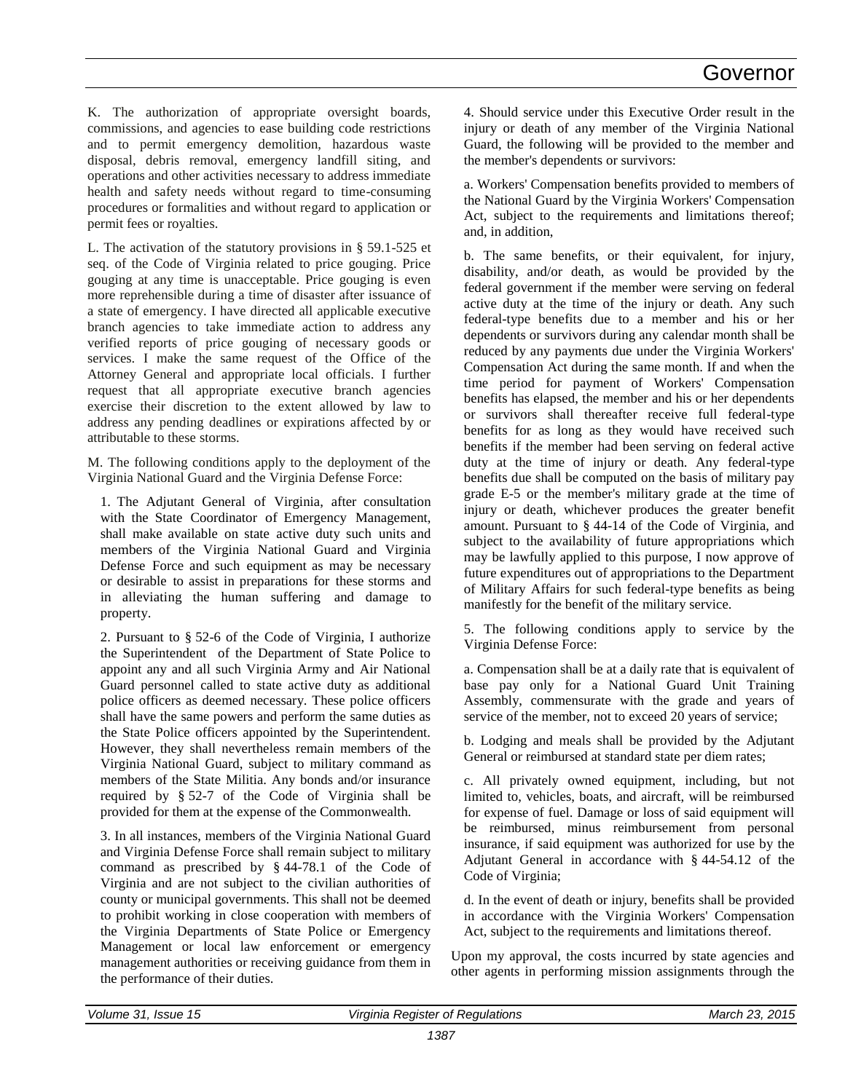K. The authorization of appropriate oversight boards, commissions, and agencies to ease building code restrictions and to permit emergency demolition, hazardous waste disposal, debris removal, emergency landfill siting, and operations and other activities necessary to address immediate health and safety needs without regard to time-consuming procedures or formalities and without regard to application or permit fees or royalties.

L. The activation of the statutory provisions in § 59.1-525 et seq. of the Code of Virginia related to price gouging. Price gouging at any time is unacceptable. Price gouging is even more reprehensible during a time of disaster after issuance of a state of emergency. I have directed all applicable executive branch agencies to take immediate action to address any verified reports of price gouging of necessary goods or services. I make the same request of the Office of the Attorney General and appropriate local officials. I further request that all appropriate executive branch agencies exercise their discretion to the extent allowed by law to address any pending deadlines or expirations affected by or attributable to these storms.

M. The following conditions apply to the deployment of the Virginia National Guard and the Virginia Defense Force:

1. The Adjutant General of Virginia, after consultation with the State Coordinator of Emergency Management, shall make available on state active duty such units and members of the Virginia National Guard and Virginia Defense Force and such equipment as may be necessary or desirable to assist in preparations for these storms and in alleviating the human suffering and damage to property.

2. Pursuant to § 52-6 of the Code of Virginia, I authorize the Superintendent of the Department of State Police to appoint any and all such Virginia Army and Air National Guard personnel called to state active duty as additional police officers as deemed necessary. These police officers shall have the same powers and perform the same duties as the State Police officers appointed by the Superintendent. However, they shall nevertheless remain members of the Virginia National Guard, subject to military command as members of the State Militia. Any bonds and/or insurance required by § 52-7 of the Code of Virginia shall be provided for them at the expense of the Commonwealth.

3. In all instances, members of the Virginia National Guard and Virginia Defense Force shall remain subject to military command as prescribed by § 44-78.1 of the Code of Virginia and are not subject to the civilian authorities of county or municipal governments. This shall not be deemed to prohibit working in close cooperation with members of the Virginia Departments of State Police or Emergency Management or local law enforcement or emergency management authorities or receiving guidance from them in the performance of their duties.

4. Should service under this Executive Order result in the injury or death of any member of the Virginia National Guard, the following will be provided to the member and the member's dependents or survivors:

a. Workers' Compensation benefits provided to members of the National Guard by the Virginia Workers' Compensation Act, subject to the requirements and limitations thereof; and, in addition,

b. The same benefits, or their equivalent, for injury, disability, and/or death, as would be provided by the federal government if the member were serving on federal active duty at the time of the injury or death. Any such federal-type benefits due to a member and his or her dependents or survivors during any calendar month shall be reduced by any payments due under the Virginia Workers' Compensation Act during the same month. If and when the time period for payment of Workers' Compensation benefits has elapsed, the member and his or her dependents or survivors shall thereafter receive full federal-type benefits for as long as they would have received such benefits if the member had been serving on federal active duty at the time of injury or death. Any federal-type benefits due shall be computed on the basis of military pay grade E-5 or the member's military grade at the time of injury or death, whichever produces the greater benefit amount. Pursuant to § 44-14 of the Code of Virginia, and subject to the availability of future appropriations which may be lawfully applied to this purpose, I now approve of future expenditures out of appropriations to the Department of Military Affairs for such federal-type benefits as being manifestly for the benefit of the military service.

5. The following conditions apply to service by the Virginia Defense Force:

a. Compensation shall be at a daily rate that is equivalent of base pay only for a National Guard Unit Training Assembly, commensurate with the grade and years of service of the member, not to exceed 20 years of service;

b. Lodging and meals shall be provided by the Adjutant General or reimbursed at standard state per diem rates;

c. All privately owned equipment, including, but not limited to, vehicles, boats, and aircraft, will be reimbursed for expense of fuel. Damage or loss of said equipment will be reimbursed, minus reimbursement from personal insurance, if said equipment was authorized for use by the Adjutant General in accordance with § 44-54.12 of the Code of Virginia;

d. In the event of death or injury, benefits shall be provided in accordance with the Virginia Workers' Compensation Act, subject to the requirements and limitations thereof.

Upon my approval, the costs incurred by state agencies and other agents in performing mission assignments through the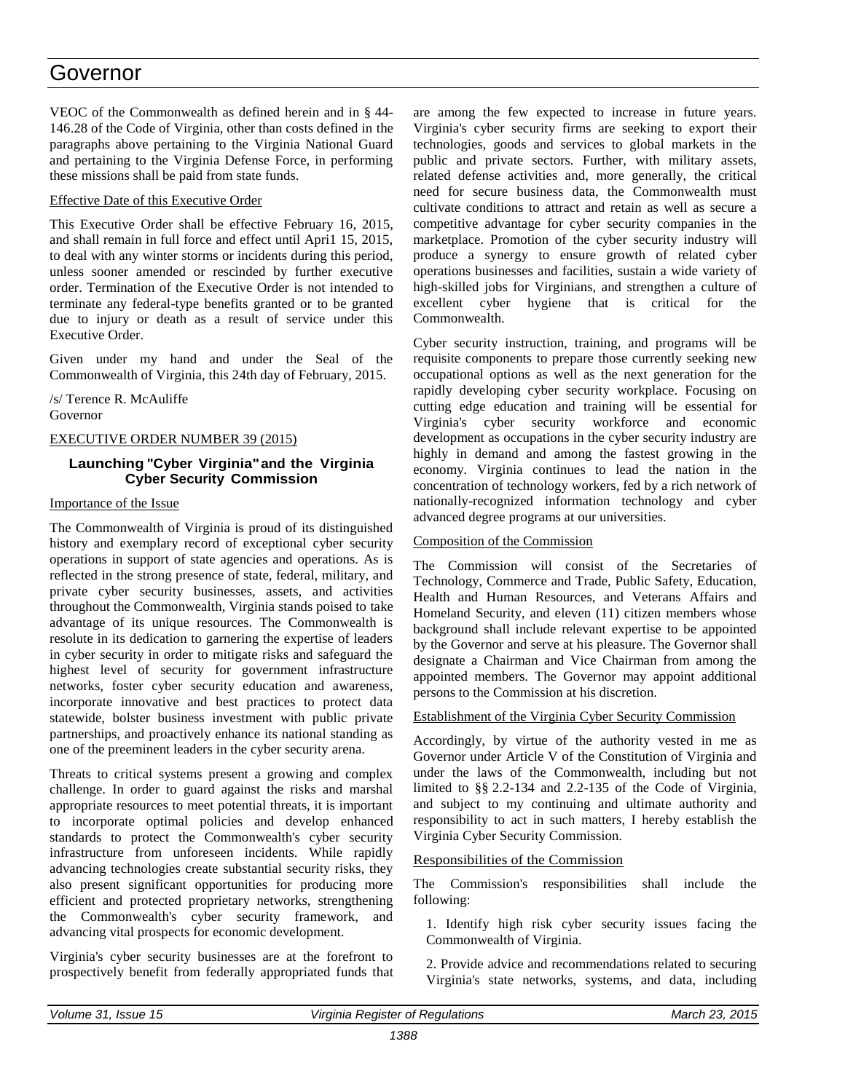### Governor

VEOC of the Commonwealth as defined herein and in § 44- 146.28 of the Code of Virginia, other than costs defined in the paragraphs above pertaining to the Virginia National Guard and pertaining to the Virginia Defense Force, in performing these missions shall be paid from state funds.

#### Effective Date of this Executive Order

This Executive Order shall be effective February 16, 2015, and shall remain in full force and effect until Apri1 15, 2015, to deal with any winter storms or incidents during this period, unless sooner amended or rescinded by further executive order. Termination of the Executive Order is not intended to terminate any federal-type benefits granted or to be granted due to injury or death as a result of service under this Executive Order.

Given under my hand and under the Seal of the Commonwealth of Virginia, this 24th day of February, 2015.

/s/ Terence R. McAuliffe Governor

#### EXECUTIVE ORDER NUMBER 39 (2015)

#### **Launching "Cyber Virginia"and the Virginia Cyber Security Commission**

#### Importance of the Issue

The Commonwealth of Virginia is proud of its distinguished history and exemplary record of exceptional cyber security operations in support of state agencies and operations. As is reflected in the strong presence of state, federal, military, and private cyber security businesses, assets, and activities throughout the Commonwealth, Virginia stands poised to take advantage of its unique resources. The Commonwealth is resolute in its dedication to garnering the expertise of leaders in cyber security in order to mitigate risks and safeguard the highest level of security for government infrastructure networks, foster cyber security education and awareness, incorporate innovative and best practices to protect data statewide, bolster business investment with public private partnerships, and proactively enhance its national standing as one of the preeminent leaders in the cyber security arena.

Threats to critical systems present a growing and complex challenge. In order to guard against the risks and marshal appropriate resources to meet potential threats, it is important to incorporate optimal policies and develop enhanced standards to protect the Commonwealth's cyber security infrastructure from unforeseen incidents. While rapidly advancing technologies create substantial security risks, they also present significant opportunities for producing more efficient and protected proprietary networks, strengthening the Commonwealth's cyber security framework, and advancing vital prospects for economic development.

Virginia's cyber security businesses are at the forefront to prospectively benefit from federally appropriated funds that

are among the few expected to increase in future years. Virginia's cyber security firms are seeking to export their technologies, goods and services to global markets in the public and private sectors. Further, with military assets, related defense activities and, more generally, the critical need for secure business data, the Commonwealth must cultivate conditions to attract and retain as well as secure a competitive advantage for cyber security companies in the marketplace. Promotion of the cyber security industry will produce a synergy to ensure growth of related cyber operations businesses and facilities, sustain a wide variety of high-skilled jobs for Virginians, and strengthen a culture of excellent cyber hygiene that is critical for the Commonwealth.

Cyber security instruction, training, and programs will be requisite components to prepare those currently seeking new occupational options as well as the next generation for the rapidly developing cyber security workplace. Focusing on cutting edge education and training will be essential for Virginia's cyber security workforce and economic development as occupations in the cyber security industry are highly in demand and among the fastest growing in the economy. Virginia continues to lead the nation in the concentration of technology workers, fed by a rich network of nationally-recognized information technology and cyber advanced degree programs at our universities.

#### Composition of the Commission

The Commission will consist of the Secretaries of Technology, Commerce and Trade, Public Safety, Education, Health and Human Resources, and Veterans Affairs and Homeland Security, and eleven (11) citizen members whose background shall include relevant expertise to be appointed by the Governor and serve at his pleasure. The Governor shall designate a Chairman and Vice Chairman from among the appointed members. The Governor may appoint additional persons to the Commission at his discretion.

#### Establishment of the Virginia Cyber Security Commission

Accordingly, by virtue of the authority vested in me as Governor under Article V of the Constitution of Virginia and under the laws of the Commonwealth, including but not limited to §§ 2.2-134 and 2.2-135 of the Code of Virginia, and subject to my continuing and ultimate authority and responsibility to act in such matters, I hereby establish the Virginia Cyber Security Commission.

#### Responsibilities of the Commission

The Commission's responsibilities shall include the following:

1. Identify high risk cyber security issues facing the Commonwealth of Virginia.

2. Provide advice and recommendations related to securing Virginia's state networks, systems, and data, including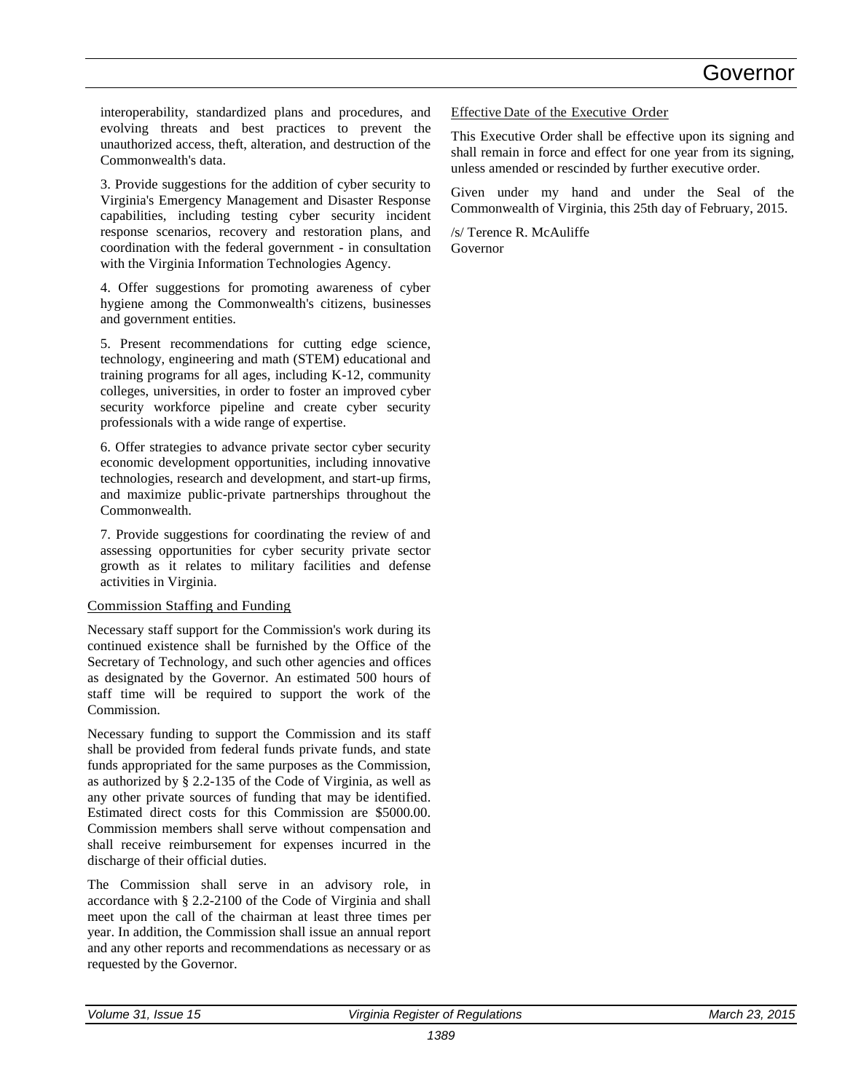interoperability, standardized plans and procedures, and evolving threats and best practices to prevent the unauthorized access, theft, alteration, and destruction of the Commonwealth's data.

3. Provide suggestions for the addition of cyber security to Virginia's Emergency Management and Disaster Response capabilities, including testing cyber security incident response scenarios, recovery and restoration plans, and coordination with the federal government - in consultation with the Virginia Information Technologies Agency.

4. Offer suggestions for promoting awareness of cyber hygiene among the Commonwealth's citizens, businesses and government entities.

5. Present recommendations for cutting edge science, technology, engineering and math (STEM) educational and training programs for all ages, including K-12, community colleges, universities, in order to foster an improved cyber security workforce pipeline and create cyber security professionals with a wide range of expertise.

6. Offer strategies to advance private sector cyber security economic development opportunities, including innovative technologies, research and development, and start-up firms, and maximize public-private partnerships throughout the Commonwealth.

7. Provide suggestions for coordinating the review of and assessing opportunities for cyber security private sector growth as it relates to military facilities and defense activities in Virginia.

#### Commission Staffing and Funding

Necessary staff support for the Commission's work during its continued existence shall be furnished by the Office of the Secretary of Technology, and such other agencies and offices as designated by the Governor. An estimated 500 hours of staff time will be required to support the work of the Commission.

Necessary funding to support the Commission and its staff shall be provided from federal funds private funds, and state funds appropriated for the same purposes as the Commission, as authorized by § 2.2-135 of the Code of Virginia, as well as any other private sources of funding that may be identified. Estimated direct costs for this Commission are \$5000.00. Commission members shall serve without compensation and shall receive reimbursement for expenses incurred in the discharge of their official duties.

The Commission shall serve in an advisory role, in accordance with § 2.2-2100 of the Code of Virginia and shall meet upon the call of the chairman at least three times per year. In addition, the Commission shall issue an annual report and any other reports and recommendations as necessary or as requested by the Governor.

Effective Date of the Executive Order

This Executive Order shall be effective upon its signing and shall remain in force and effect for one year from its signing, unless amended or rescinded by further executive order.

Given under my hand and under the Seal of the Commonwealth of Virginia, this 25th day of February, 2015.

/s/ Terence R. McAuliffe Governor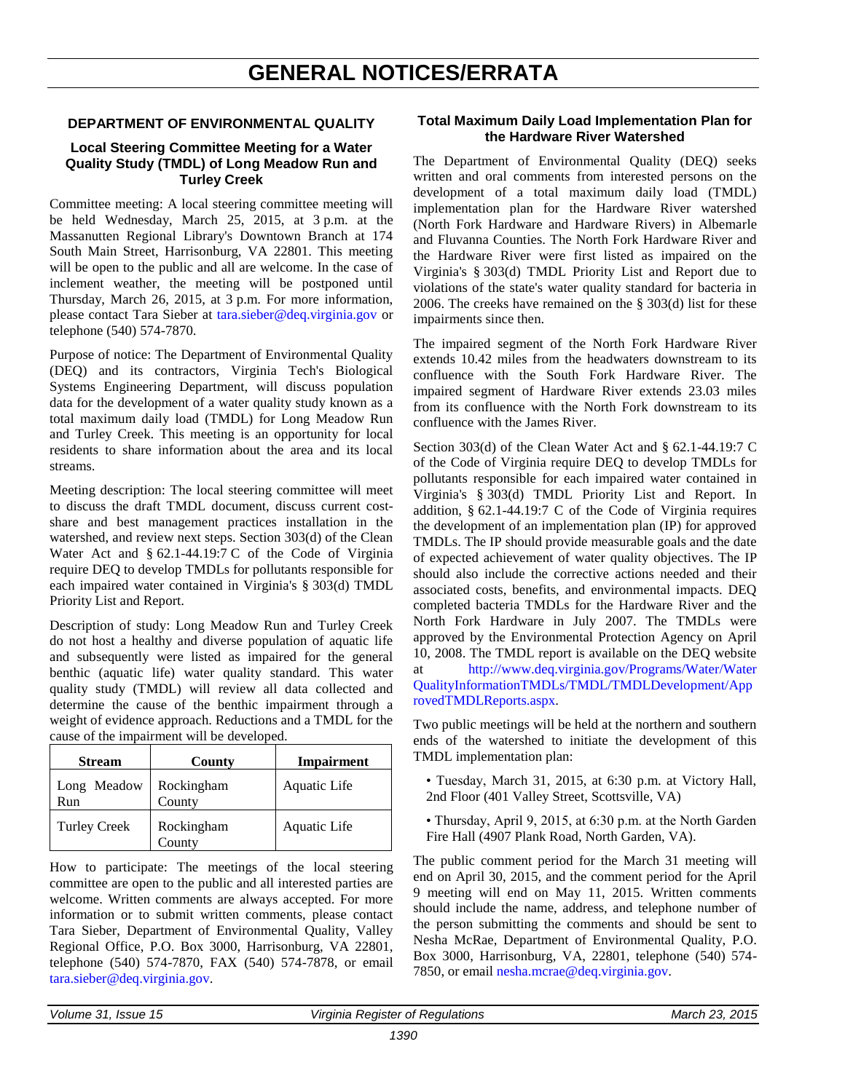# **GENERAL NOTICES/ERRATA**

#### <span id="page-25-0"></span>**DEPARTMENT OF ENVIRONMENTAL QUALITY**

#### **Local Steering Committee Meeting for a Water Quality Study (TMDL) of Long Meadow Run and Turley Creek**

Committee meeting: A local steering committee meeting will be held Wednesday, March 25, 2015, at 3 p.m. at the Massanutten Regional Library's Downtown Branch at 174 South Main Street, Harrisonburg, VA 22801. This meeting will be open to the public and all are welcome. In the case of inclement weather, the meeting will be postponed until Thursday, March 26, 2015, at 3 p.m. For more information, please contact Tara Sieber at [tara.sieber@deq.virginia.gov](mailto:tara.sieber@deq.virginia.gov) or telephone (540) 574-7870.

Purpose of notice: The Department of Environmental Quality (DEQ) and its contractors, Virginia Tech's Biological Systems Engineering Department, will discuss population data for the development of a water quality study known as a total maximum daily load (TMDL) for Long Meadow Run and Turley Creek. This meeting is an opportunity for local residents to share information about the area and its local streams.

Meeting description: The local steering committee will meet to discuss the draft TMDL document, discuss current costshare and best management practices installation in the watershed, and review next steps. Section 303(d) of the Clean Water Act and § 62.1-44.19:7 C of the Code of Virginia require DEQ to develop TMDLs for pollutants responsible for each impaired water contained in Virginia's § 303(d) TMDL Priority List and Report.

Description of study: Long Meadow Run and Turley Creek do not host a healthy and diverse population of aquatic life and subsequently were listed as impaired for the general benthic (aquatic life) water quality standard. This water quality study (TMDL) will review all data collected and determine the cause of the benthic impairment through a weight of evidence approach. Reductions and a TMDL for the cause of the impairment will be developed.

| <b>Stream</b>       | County               | <b>Impairment</b> |
|---------------------|----------------------|-------------------|
| Long Meadow<br>Run  | Rockingham<br>County | Aquatic Life      |
| <b>Turley Creek</b> | Rockingham<br>County | Aquatic Life      |

How to participate: The meetings of the local steering committee are open to the public and all interested parties are welcome. Written comments are always accepted. For more information or to submit written comments, please contact Tara Sieber, Department of Environmental Quality, Valley Regional Office, P.O. Box 3000, Harrisonburg, VA 22801, telephone (540) 574-7870, FAX (540) 574-7878, or email [tara.sieber@deq.virginia.gov.](mailto:tara.sieber@deq.virginia.gov)

#### **Total Maximum Daily Load Implementation Plan for the Hardware River Watershed**

The Department of Environmental Quality (DEQ) seeks written and oral comments from interested persons on the development of a total maximum daily load (TMDL) implementation plan for the Hardware River watershed (North Fork Hardware and Hardware Rivers) in Albemarle and Fluvanna Counties. The North Fork Hardware River and the Hardware River were first listed as impaired on the Virginia's § 303(d) TMDL Priority List and Report due to violations of the state's water quality standard for bacteria in 2006. The creeks have remained on the § 303(d) list for these impairments since then.

The impaired segment of the North Fork Hardware River extends 10.42 miles from the headwaters downstream to its confluence with the South Fork Hardware River. The impaired segment of Hardware River extends 23.03 miles from its confluence with the North Fork downstream to its confluence with the James River.

Section 303(d) of the Clean Water Act and § 62.1-44.19:7 C of the Code of Virginia require DEQ to develop TMDLs for pollutants responsible for each impaired water contained in Virginia's § 303(d) TMDL Priority List and Report. In addition, § 62.1-44.19:7 C of the Code of Virginia requires the development of an implementation plan (IP) for approved TMDLs. The IP should provide measurable goals and the date of expected achievement of water quality objectives. The IP should also include the corrective actions needed and their associated costs, benefits, and environmental impacts. DEQ completed bacteria TMDLs for the Hardware River and the North Fork Hardware in July 2007. The TMDLs were approved by the Environmental Protection Agency on April 10, 2008. The TMDL report is available on the DEQ website at [http://www.deq.virginia.gov/Programs/Water/Water](http://www.deq.virginia.gov/Programs/Water/WaterQualityInformationTMDLs/TMDL/TMDLDevelopment/ApprovedTMDLReports.aspx) [QualityInformationTMDLs/TMDL/TMDLDevelopment/App](http://www.deq.virginia.gov/Programs/Water/WaterQualityInformationTMDLs/TMDL/TMDLDevelopment/ApprovedTMDLReports.aspx) [rovedTMDLReports.aspx.](http://www.deq.virginia.gov/Programs/Water/WaterQualityInformationTMDLs/TMDL/TMDLDevelopment/ApprovedTMDLReports.aspx)

Two public meetings will be held at the northern and southern ends of the watershed to initiate the development of this TMDL implementation plan:

• Tuesday, March 31, 2015, at 6:30 p.m. at Victory Hall, 2nd Floor (401 Valley Street, Scottsville, VA)

• Thursday, April 9, 2015, at 6:30 p.m. at the North Garden Fire Hall (4907 Plank Road, North Garden, VA).

The public comment period for the March 31 meeting will end on April 30, 2015, and the comment period for the April 9 meeting will end on May 11, 2015. Written comments should include the name, address, and telephone number of the person submitting the comments and should be sent to Nesha McRae, Department of Environmental Quality, P.O. Box 3000, Harrisonburg, VA, 22801, telephone (540) 574- 7850, or email [nesha.mcrae@deq.virginia.gov.](mailto:nesha.mcrae@deq.virginia.gov)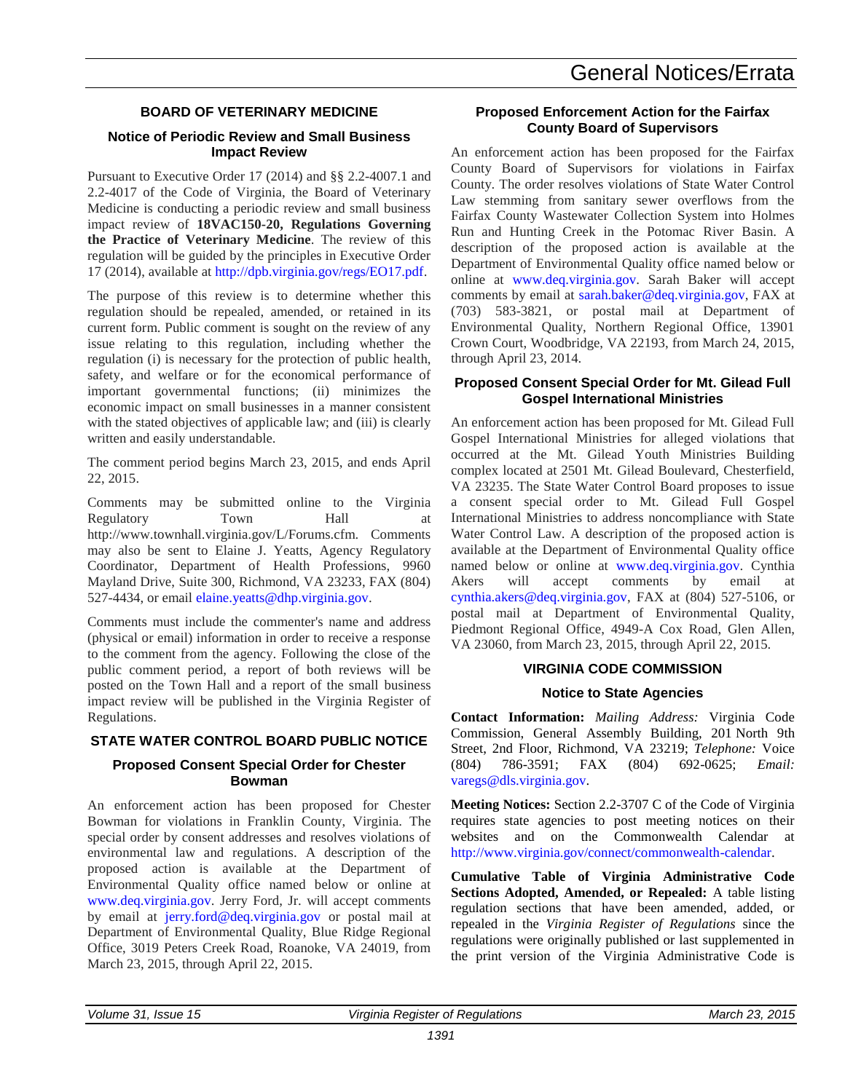#### **BOARD OF VETERINARY MEDICINE**

#### **Notice of Periodic Review and Small Business Impact Review**

Pursuant to Executive Order 17 (2014) and §§ 2.2-4007.1 and 2.2-4017 of the Code of Virginia, the Board of Veterinary Medicine is conducting a periodic review and small business impact review of **18VAC150-20, Regulations Governing the Practice of Veterinary Medicine**. The review of this regulation will be guided by the principles in Executive Order 17 (2014), available at [http://dpb.virginia.gov/regs/EO17.pdf.](http://dpb.virginia.gov/regs/EO17.pdf)

The purpose of this review is to determine whether this regulation should be repealed, amended, or retained in its current form. Public comment is sought on the review of any issue relating to this regulation, including whether the regulation (i) is necessary for the protection of public health, safety, and welfare or for the economical performance of important governmental functions; (ii) minimizes the economic impact on small businesses in a manner consistent with the stated objectives of applicable law; and (iii) is clearly written and easily understandable.

The comment period begins March 23, 2015, and ends April 22, 2015.

Comments may be submitted online to the Virginia Regulatory Town Hall at http://www.townhall.virginia.gov/L/Forums.cfm. Comments may also be sent to Elaine J. Yeatts, Agency Regulatory Coordinator, Department of Health Professions, 9960 Mayland Drive, Suite 300, Richmond, VA 23233, FAX (804) 527-4434, or email [elaine.yeatts@dhp.virginia.gov.](mailto:elaine.yeatts@dhp.virginia.gov)

Comments must include the commenter's name and address (physical or email) information in order to receive a response to the comment from the agency. Following the close of the public comment period, a report of both reviews will be posted on the Town Hall and a report of the small business impact review will be published in the Virginia Register of Regulations.

#### **STATE WATER CONTROL BOARD PUBLIC NOTICE**

#### **Proposed Consent Special Order for Chester Bowman**

An enforcement action has been proposed for Chester Bowman for violations in Franklin County, Virginia. The special order by consent addresses and resolves violations of environmental law and regulations. A description of the proposed action is available at the Department of Environmental Quality office named below or online at [www.deq.virginia.gov.](http://www.deq.virginia.gov/) Jerry Ford, Jr. will accept comments by email at [jerry.ford@deq.virginia.gov](mailto:Jerry.Ford@deq.virginia.gov) or postal mail at Department of Environmental Quality, Blue Ridge Regional Office, 3019 Peters Creek Road, Roanoke, VA 24019, from March 23, 2015, through April 22, 2015.

#### **Proposed Enforcement Action for the Fairfax County Board of Supervisors**

An enforcement action has been proposed for the Fairfax County Board of Supervisors for violations in Fairfax County. The order resolves violations of State Water Control Law stemming from sanitary sewer overflows from the Fairfax County Wastewater Collection System into Holmes Run and Hunting Creek in the Potomac River Basin. A description of the proposed action is available at the Department of Environmental Quality office named below or online at [www.deq.virginia.gov.](http://www.deq.virginia.gov/) Sarah Baker will accept comments by email at [sarah.baker@deq.virginia.gov,](mailto:sarah.baker@deq.virginia.gov) FAX at (703) 583-3821, or postal mail at Department of Environmental Quality, Northern Regional Office, 13901 Crown Court, Woodbridge, VA 22193, from March 24, 2015, through April 23, 2014.

#### **Proposed Consent Special Order for Mt. Gilead Full Gospel International Ministries**

An enforcement action has been proposed for Mt. Gilead Full Gospel International Ministries for alleged violations that occurred at the Mt. Gilead Youth Ministries Building complex located at 2501 Mt. Gilead Boulevard, Chesterfield, VA 23235. The State Water Control Board proposes to issue a consent special order to Mt. Gilead Full Gospel International Ministries to address noncompliance with State Water Control Law. A description of the proposed action is available at the Department of Environmental Quality office named below or online at [www.deq.virginia.gov.](http://www.deq.virginia.gov/) Cynthia Akers will accept comments by email at [cynthia.akers@deq.virginia.gov,](mailto:cynthia.akers@deq.virginia.gov) FAX at (804) 527-5106, or postal mail at Department of Environmental Quality, Piedmont Regional Office, 4949-A Cox Road, Glen Allen, VA 23060, from March 23, 2015, through April 22, 2015.

#### **VIRGINIA CODE COMMISSION**

#### **Notice to State Agencies**

**Contact Information:** *Mailing Address:* Virginia Code Commission, General Assembly Building, 201 North 9th Street, 2nd Floor, Richmond, VA 23219; *Telephone:* Voice (804) 786-3591; FAX (804) 692-0625; *Email:* [varegs@dls.virginia.gov.](varegs@dls.virginia.gov)

**Meeting Notices:** Section 2.2-3707 C of the Code of Virginia requires state agencies to post meeting notices on their websites and on the Commonwealth Calendar at [http://www.virginia.gov/connect/commonwealth-calendar.](http://www.virginia.gov/connect/commonwealth-calendar)

**Cumulative Table of Virginia Administrative Code Sections Adopted, Amended, or Repealed:** A table listing regulation sections that have been amended, added, or repealed in the *Virginia Register of Regulations* since the regulations were originally published or last supplemented in the print version of the Virginia Administrative Code is